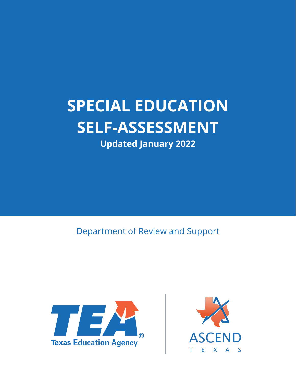# **SPECIAL EDUCATION SELF-ASSESSMENT**

**Updated January 2022**

Department of Review and Support



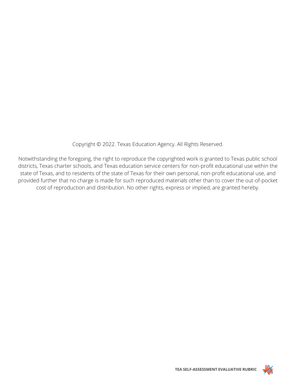Copyright © 2022. Texas Education Agency. All Rights Reserved.

Notwithstanding the foregoing, the right to reproduce the copyrighted work is granted to Texas public school districts, Texas charter schools, and Texas education service centers for non-profit educational use within the state of Texas, and to residents of the state of Texas for their own personal, non-profit educational use, and provided further that no charge is made for such reproduced materials other than to cover the out-of-pocket cost of reproduction and distribution. No other rights, express or implied, are granted hereby.

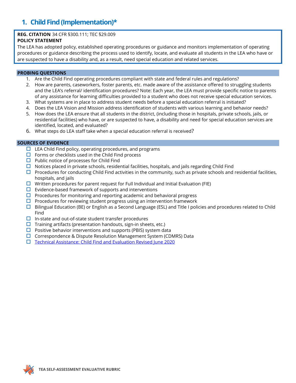### **1. Child Find (Implementation)\***

### **REG. CITATION** 34 CFR §300.111; TEC §29.009

### **POLICY STATEMENT**

The LEA has adopted policy, established operating procedures or guidance and monitors implementation of operating procedures or guidance describing the process used to identify, locate, and evaluate all students in the LEA who have or are suspected to have a disability and, as a result, need special education and related services.

### **PROBING QUESTIONS**

- 1. Are the Child Find operating procedures compliant with state and federal rules and regulations?
- 2. How are parents, caseworkers, foster parents, etc. made aware of the assistance offered to struggling students and the LEA's referral/ identification procedures? Note: Each year, the LEA must provide specific notice to parents of any assistance for learning difficulties provided to a student who does not receive special education services.
- 3. What systems are in place to address student needs before a special education referral is initiated?
- 4. Does the LEA Vision and Mission address identification of students with various learning and behavior needs?
- 5. How does the LEA ensure that all students in the district, (including those in hospitals, private schools, jails, or residential facilities) who have, or are suspected to have, a disability and need for special education services are identified, located, and evaluated?
- 6. What steps do LEA staff take when a special education referral is received?

- $\Box$  LEA Child Find policy, operating procedures, and programs
- $\Box$  Forms or checklists used in the Child Find process
- $\Box$  Public notice of processes for Child Find
- $\Box$  Notices placed in private schools, residential facilities, hospitals, and jails regarding Child Find
- $\Box$  Procedures for conducting Child Find activities in the community, such as private schools and residential facilities, hospitals, and jails
- $\Box$  Written procedures for parent request for Full Individual and Initial Evaluation (FIE)
- $\Box$  Evidence-based framework of supports and interventions
- $\Box$  Procedures for monitoring and reporting academic and behavioral progress
- $\Box$  Procedures for reviewing student progress using an intervention framework
- $\square$  Bilingual Education (BE) or English as a Second Language (ESL) and Title I policies and procedures related to Child Find
- $\Box$  In-state and out-of-state student transfer procedures
- $\Box$  Training artifacts (presentation handouts, sign-in sheets, etc.)
- $\Box$  Positive behavior interventions and supports (PBIS) system data
- $\Box$  Correspondence & Dispute Resolution Management System (CDMRS) Data
- □ [Technical Assistance: Child Find and Evaluation Revised June 2020](https://tea.texas.gov/sites/default/files/Technical%20Assistance%20-%20Child%20Find%20and%20Evaluation%20-%20June%202020%20Revised%28v5%29.pdf)

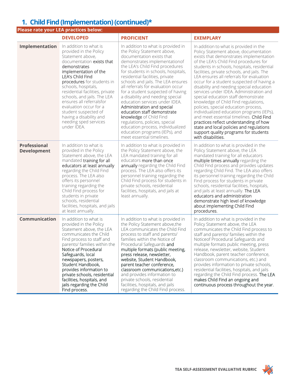### **1. Child Find (Implementation) (continued)\***

### **Please rate your LEA practices below:**

|                                           | <b>DEVELOPED</b>                                                                                                                                                                                                                                                                                                                                                                                                                       | <b>PROFICIENT</b>                                                                                                                                                                                                                                                                                                                                                                                                                                                                                                                                                                                                                                                  | <b>EXEMPLARY</b>                                                                                                                                                                                                                                                                                                                                                                                                                                                                                                                                                                                                                                                                                                                                                                                                        |
|-------------------------------------------|----------------------------------------------------------------------------------------------------------------------------------------------------------------------------------------------------------------------------------------------------------------------------------------------------------------------------------------------------------------------------------------------------------------------------------------|--------------------------------------------------------------------------------------------------------------------------------------------------------------------------------------------------------------------------------------------------------------------------------------------------------------------------------------------------------------------------------------------------------------------------------------------------------------------------------------------------------------------------------------------------------------------------------------------------------------------------------------------------------------------|-------------------------------------------------------------------------------------------------------------------------------------------------------------------------------------------------------------------------------------------------------------------------------------------------------------------------------------------------------------------------------------------------------------------------------------------------------------------------------------------------------------------------------------------------------------------------------------------------------------------------------------------------------------------------------------------------------------------------------------------------------------------------------------------------------------------------|
| Implementation                            | In addition to what is<br>provided in the Policy<br>Statement above,<br>documentation exists that<br>demonstrates<br>implementation of the<br>LEA's Child Find<br>procedures for students in<br>schools, hospitals,<br>residential facilities, private<br>schools, and jails. The LEA<br>ensures all referralsfor<br>evaluation occur for a<br>student suspected of<br>having a disability and<br>needing sped services<br>under IDEA. | In addition to what is provided in<br>the Policy Statement above,<br>documentation exists that<br>demonstrates implementation of<br>the LEA's Child Find procedures<br>for students in schools, hospitals,<br>residential facilities, private<br>schools and jails. The LEA ensures<br>all referrals for evaluation occur<br>for a student suspected of having<br>a disability and needing special<br>education services under IDEA.<br>Administration and special<br>education staff demonstrate<br>knowledge of Child Find<br>regulations, policies, special<br>education process, individualized<br>education programs (IEPs), and<br>meet essential timelines. | In addition to what is provided in the<br>Policy Statement above, documentation<br>exists that demonstrates implementation<br>of the LEA's Child Find procedures for<br>students in schools, hospitals, residential<br>facilities, private schools, and jails. The<br>LEA ensures all referrals for evaluation<br>occur for a student suspected of having a<br>disability and needing special education<br>services under IDEA. Administration and<br>special education staff demonstrate<br>knowledge of Child Find regulations,<br>policies, special education process,<br>individualized education programs (IEPs),<br>and meet essential timelines. Child Find<br>practices reflect understanding of how<br>state and local policies and regulations<br>support quality programs for students<br>with disabilities. |
| <b>Professional</b><br><b>Development</b> | In addition to what is<br>provided in the Policy<br>Statement above, the LEA<br>mandated training for all<br>educators at least annually<br>regarding the Child Find<br>process. The LEA also<br>offers its personnel<br>training regarding the<br>Child Find process for<br>students in private<br>schools, residential<br>facilities, hospitals, and jails<br>at least annually.                                                     | In addition to what is provided in<br>the Policy Statement above, the<br>LEA mandated training for all<br>educators more than once<br>annually regarding the Child Find<br>process. The LEA also offers its<br>personnel training regarding the<br>Child Find process for students in<br>private schools, residential<br>facilities, hospitals, and jails at<br>least annually.                                                                                                                                                                                                                                                                                    | In addition to what is provided in the<br>Policy Statement above, the LEA<br>mandated training for all educators<br>multiple times annually regarding the<br>Child Find process and provides updates<br>regarding Child Find. The LEA also offers<br>its personnel training regarding the Child<br>Find process for students in private<br>schools, residential facilities, hospitals,<br>and jails at least annually. The LEA<br>educators and administration<br>demonstrate high level of knowledge<br>about implementing Child Find<br>procedures.                                                                                                                                                                                                                                                                   |
| Communication                             | In addition to what is<br>provided in the Policy<br>Statement above, the LEA<br>communicates the Child<br>Find process to staff and<br>parents/ families within the<br>Notice of Procedural<br>Safeguards, local<br>newspapers, posters,<br>Student Handbook,<br>provides information to<br>private schools, residential<br>facilities, hospitals, and<br>jails regarding the Child<br>Find process.                                   | In addition to what is provided in<br>the Policy Statement above, the<br>LEA communicates the Child Find<br>process to staff and parents/<br>families within the Notice of<br>Procedural Safeguards and<br>multiple formats (public meeting,<br>press release, newsletter,<br>website, Student Handbook,<br>parent teacher conference,<br>classroom communications, etc.)<br>and provides information to<br>private schools, residential<br>facilities, hospitals, and jails<br>regarding the Child Find process.                                                                                                                                                  | In addition to what is provided in the<br>Policy Statement above, the LEA<br>communicates the Child Find process to<br>staff and parents/ families within the<br>Noticeof Procedural Safeguards and<br>multiple formats public meeting, press<br>release, newsletter, website, Student<br>Handbook, parent teacher conference,<br>classroom communications, etc.) and<br>provides information to private schools,<br>residential facilities, hospitals, and jails<br>regarding the Child Find process. The LEA<br>makes Child Find an ongoing and<br>continuous process throughout the year.                                                                                                                                                                                                                            |

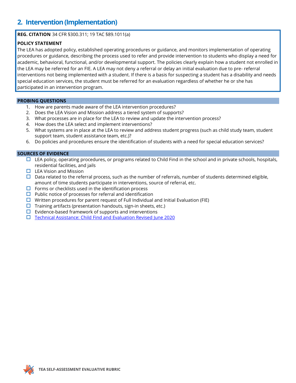### **2. Intervention (Implementation)**

### **REG. CITATION** 34 CFR §300.311; 19 TAC §89.1011(a)

### **POLICY STATEMENT**

The LEA has adopted policy, established operating procedures or guidance, and monitors implementation of operating procedures or guidance, describing the process used to refer and provide intervention to students who display a need for academic, behavioral, functional, and/or developmental support. The policies clearly explain how a student not enrolled in the LEA may be referred for an FIE. A LEA may not deny a referral or delay an initial evaluation due to pre- referral interventions not being implemented with a student. If there is a basis for suspecting a student has a disability and needs special education services, the student must be referred for an evaluation regardless of whether he or she has participated in an intervention program.

#### **PROBING QUESTIONS**

- 1. How are parents made aware of the LEA intervention procedures?
- 2. Does the LEA Vision and Mission address a tiered system of supports?
- 3. What processes are in place for the LEA to review and update the intervention process?
- 4. How does the LEA select and implement interventions?
- 5. What systems are in place at the LEA to review and address student progress (such as child study team, student support team, student assistance team, etc.)?
- 6. Do policies and procedures ensure the identification of students with a need for special education services?

- $\Box$  LEA policy, operating procedures, or programs related to Child Find in the school and in private schools, hospitals, residential facilities, and jails
- $\Box$  LEA Vision and Mission
- $\Box$  Data related to the referral process, such as the number of referrals, number of students determined eligible, amount of time students participate in interventions, source of referral, etc.
- $\Box$  Forms or checklists used in the identification process
- $\Box$  Public notice of processes for referral and identification
- $\Box$  Written procedures for parent request of Full Individual and Initial Evaluation (FIE)
- $\Box$  Training artifacts (presentation handouts, sign-in sheets, etc.)
- $\Box$  Evidence-based framework of supports and interventions
- □ [Technical Assistance: Child Find and Evaluation Revised June 2020](https://tea.texas.gov/sites/default/files/Technical%20Assistance%20-%20Child%20Find%20and%20Evaluation%20-%20June%202020%20Revised%28v5%29.pdf)

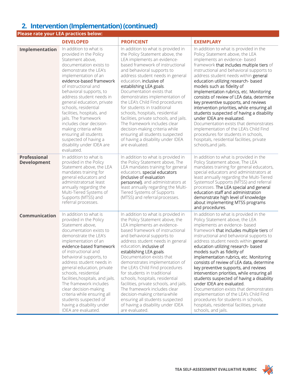### **2. Intervention (Implementation) (continued)**

|                                           | <b>Please rate your LEA practices below:</b>                                                                                                                                                                                                                                                                                                                                                                                                                                                                              |                                                                                                                                                                                                                                                                                                                                                                                                                                                                                                                                                                                                                                             |                                                                                                                                                                                                                                                                                                                                                                                                                                                                                                                                                                                                                                                                                                                                                                           |
|-------------------------------------------|---------------------------------------------------------------------------------------------------------------------------------------------------------------------------------------------------------------------------------------------------------------------------------------------------------------------------------------------------------------------------------------------------------------------------------------------------------------------------------------------------------------------------|---------------------------------------------------------------------------------------------------------------------------------------------------------------------------------------------------------------------------------------------------------------------------------------------------------------------------------------------------------------------------------------------------------------------------------------------------------------------------------------------------------------------------------------------------------------------------------------------------------------------------------------------|---------------------------------------------------------------------------------------------------------------------------------------------------------------------------------------------------------------------------------------------------------------------------------------------------------------------------------------------------------------------------------------------------------------------------------------------------------------------------------------------------------------------------------------------------------------------------------------------------------------------------------------------------------------------------------------------------------------------------------------------------------------------------|
|                                           | <b>DEVELOPED</b>                                                                                                                                                                                                                                                                                                                                                                                                                                                                                                          | <b>PROFICIENT</b>                                                                                                                                                                                                                                                                                                                                                                                                                                                                                                                                                                                                                           | <b>EXEMPLARY</b>                                                                                                                                                                                                                                                                                                                                                                                                                                                                                                                                                                                                                                                                                                                                                          |
| Implementation                            | In addition to what is<br>provided in the Policy<br>Statement above,<br>documentation exists to<br>demonstrate the LEA's<br>implementation of an<br>evidence-based framework<br>of instructional and<br>behavioral supports, to<br>address student needs in<br>general education, private<br>schools, residential<br>facilities, hospitals, and<br>jails. The framework<br>includes clear decision-<br>making criteria while<br>ensuring all students<br>suspected of having a<br>disability under IDEA are<br>evaluated. | In addition to what is provided in<br>the Policy Statement above, the<br>LEA implements an evidence-<br>based framework of instructional<br>and behavioral supports to<br>address student needs in general<br>education, inclusive of<br>establishing LEA goals.<br>Documentation exists that<br>demonstrates implementation of<br>the LEA's Child Find procedures<br>for students in traditional<br>schools, hospitals, residential<br>facilities, private schools, and jails.<br>The framework includes clear<br>decision-making criteria while<br>ensuring all students suspected<br>of having a disability under IDEA<br>are evaluated. | In addition to what is provided in the<br>Policy Statement above, the LEA<br>implements an evidence- based<br>framework that includes multiple tiers of<br>instructional and behavioral supports to<br>address student needs within general<br>education utilizing research- based<br>models such as fidelity of<br>implementation rubrics, etc. Monitoring<br>consists of review of LEA data, determine<br>key preventive supports, and reviews<br>intervention priorities, while ensuring all<br>students suspected of having a disability<br>under IDEA are evaluated.<br>Documentation exists that demonstrates<br>implementation of the LEA's Child Find<br>procedures for students in schools,<br>hospitals, residential facilities, private<br>schools, and jails. |
| <b>Professional</b><br><b>Development</b> | In addition to what is<br>provided in the Policy<br>Statement above, the LEA<br>mandates training for<br>general educators and<br>administratorsat least<br>annually regarding the<br>Multi-Tiered Systems of<br>Supports (MTSS) and<br>referral processes.                                                                                                                                                                                                                                                               | In addition to what is provided in<br>the Policy Statement above, The<br>LEA mandates training for general<br>educators, special educators<br>(inclusive of evaluation<br>personnel), and administrators at<br>least annually regarding the Multi-<br>Tiered Systems of Supports<br>(MTSS) and referral processes.                                                                                                                                                                                                                                                                                                                          | In addition to what is provided in the<br>Policy Statement above, The LEA<br>mandates training for general educators,<br>special educators and administrators at<br>least annually regarding the Multi-Tiered<br>Systemsof Supports (MTSS) and referral<br>processes. The LEA special and general<br>education staff and administration<br>demonstrate high level of knowledge<br>about implementing MTSS programs<br>and procedures.                                                                                                                                                                                                                                                                                                                                     |
| <b>Communication</b>                      | In addition to what is<br>provided in the Policy<br>Statement above,<br>documentation exists to<br>demonstrate the LEA's<br>implementation of an<br>evidence-based framework<br>of instructional and<br>behavioral supports, to<br>address student needs in<br>general education, private<br>schools, residential<br>facilities, hospitals, and jails.<br>The framework includes<br>clear decision-making<br>criteria while ensuring all<br>students suspected of<br>having a disability under<br>IDEA are evaluated.     | In addition to what is provided in<br>the Policy Statement above, the<br>LEA implements an evidence-<br>based framework of instructional<br>and behavioral supports to<br>address student needs in general<br>education, inclusive of<br>establishing LEA goals.<br>Documentation exists that<br>demonstrates implementation of<br>the LEA's Child Find procedures<br>for students in traditional<br>schools, hospitals, residential<br>facilities, private schools, and jails.<br>The framework includes clear<br>decision-making criteria while<br>ensuring all students suspected<br>of having a disability under IDEA<br>are evaluated. | In addition to what is provided in the<br>Policy Statement above, the LEA<br>implements an evidence- based<br>framework that includes multiple tiers of<br>instructional and behavioral supports to<br>address student needs within general<br>education utilizing research- based<br>models such as fidelity of<br>implementation rubrics, etc. Monitoring<br>consists of review of LEA data, determine<br>key preventive supports, and reviews<br>intervention priorities, while ensuring all<br>students suspected of having a disability<br>under IDEA are evaluated.<br>Documentation exists that demonstrates<br>implementation of the LEA's Child Find<br>procedures for students in schools,<br>hospitals, residential facilities, private<br>schools, and jails. |

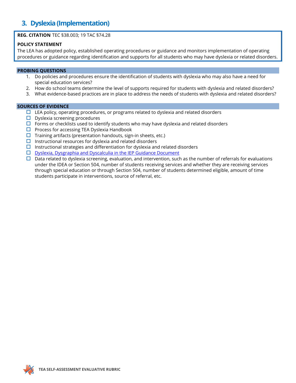### **3. Dyslexia (Implementation)**

### **REG. CITATION** TEC §38.003; 19 TAC §74.28

#### **POLICY STATEMENT**

The LEA has adopted policy, established operating procedures or guidance and monitors implementation of operating procedures or guidance regarding identification and supports for all students who may have dyslexia or related disorders.

#### **PROBING QUESTIONS**

- 1. Do policies and procedures ensure the identification of students with dyslexia who may also have a need for special education services?
- 2. How do school teams determine the level of supports required for students with dyslexia and related disorders?
- 3. What evidence-based practices are in place to address the needs of students with dyslexia and related disorders?

- $\Box$  LEA policy, operating procedures, or programs related to dyslexia and related disorders
- $\Box$  Dyslexia screening procedures
- $\Box$  Forms or checklists used to identify students who may have dyslexia and related disorders
- $\Box$  Process for accessing TEA Dyslexia Handbook
- $\Box$  Training artifacts (presentation handouts, sign-in sheets, etc.)
- $\Box$  Instructional resources for dyslexia and related disorders
- $\Box$  Instructional strategies and differentiation for dyslexia and related disorders
- $\square$  [Dyslexia, Dysgraphia and Dyscalculia in the IEP Guidance Document](https://tea.texas.gov/sites/default/files/Dyslexia%20in%20the%20IEP%206.3_accessible%208.1.pdf)
- $\Box$  Data related to dyslexia screening, evaluation, and intervention, such as the number of referrals for evaluations under the IDEA or Section 504, number of students receiving services and whether they are receiving services through special education or through Section 504, number of students determined eligible, amount of time students participate in interventions, source of referral, etc.

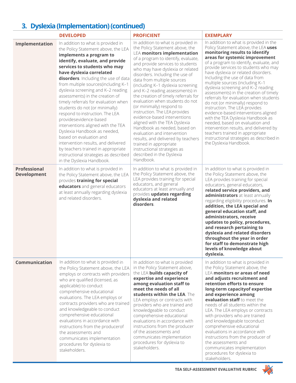## **3. Dyslexia (Implementation) (continued)**

|                                           | <b>DEVELOPED</b>                                                                                                                                                                                                                                                                                                                                                                                                                                                                                                                                                                                                                                                                                                                                       | <b>PROFICIENT</b>                                                                                                                                                                                                                                                                                                                                                                                                                                                                                                                                                                                                                                                                                                                                                                     | <b>EXEMPLARY</b>                                                                                                                                                                                                                                                                                                                                                                                                                                                                                                                                                                                                                                                                                                                                                                                                    |
|-------------------------------------------|--------------------------------------------------------------------------------------------------------------------------------------------------------------------------------------------------------------------------------------------------------------------------------------------------------------------------------------------------------------------------------------------------------------------------------------------------------------------------------------------------------------------------------------------------------------------------------------------------------------------------------------------------------------------------------------------------------------------------------------------------------|---------------------------------------------------------------------------------------------------------------------------------------------------------------------------------------------------------------------------------------------------------------------------------------------------------------------------------------------------------------------------------------------------------------------------------------------------------------------------------------------------------------------------------------------------------------------------------------------------------------------------------------------------------------------------------------------------------------------------------------------------------------------------------------|---------------------------------------------------------------------------------------------------------------------------------------------------------------------------------------------------------------------------------------------------------------------------------------------------------------------------------------------------------------------------------------------------------------------------------------------------------------------------------------------------------------------------------------------------------------------------------------------------------------------------------------------------------------------------------------------------------------------------------------------------------------------------------------------------------------------|
| Implementation                            | In addition to what is provided in<br>the Policy Statement above, the LEA<br>implements a program to<br>identify, evaluate, and provide<br>services to students who may<br>have dyslexia correlated<br>disorders. Including the use of data<br>from multiple sources(including K-1<br>dyslexia screening and K-2 reading<br>assessments) in the creation of<br>timely referrals for evaluation when<br>students do not (or minimally)<br>respond to instruction. The LEA<br>providesevidence-based<br>interventions aligned with the TEA<br>Dyslexia Handbook as needed,<br>based on evaluation and<br>intervention results, and delivered<br>by teachers trained in appropriate<br>instructional strategies as described<br>in the Dyslexia Handbook. | In addition to what is provided in<br>the Policy Statement above, the<br><b>LEA monitors implementation</b><br>of a program to identify, evaluate,<br>and provide services to students<br>who may have dyslexia or related<br>disorders. Including the use of<br>data from multiple sources<br>(including K-1 dyslexia screening<br>and K-2 reading assessments) in<br>the creation of timely referrals for<br>evaluation when students do not<br>(or minimally) respond to<br>instruction. The LEA provides<br>evidence-based interventions<br>aligned with the TEA Dyslexia<br>Handbook as needed, based on<br>evaluation and intervention<br>results, and delivered by teachers<br>trained in appropriate<br>instructional strategies as<br>described in the Dyslexia<br>Handbook. | In addition to what is provided in the<br>Policy Statement above, the LEA uses<br>monitoring results to identify<br>areas for systemic improvement<br>of a program to identify, evaluate, and<br>provide services to students who may<br>have dyslexia or related disorders.<br>Including the use of data from<br>multiple sources (including K-1<br>dyslexia screening and K-2 reading<br>assessments) in the creation of timely<br>referrals for evaluation when students<br>do not (or minimally) respond to<br>instruction. The LEA provides<br>evidence-based interventions aligned<br>with the TEA Dyslexia Handbook as<br>needed, based on evaluation and<br>intervention results, and delivered by<br>teachers trained in appropriate<br>instructional strategies as described in<br>the Dyslexia Handbook. |
| <b>Professional</b><br><b>Development</b> | In addition to what is provided in<br>the Policy Statement above, the LEA<br>provides training for special<br>educators and general educators<br>at least annually regarding dyslexia<br>and related disorders.                                                                                                                                                                                                                                                                                                                                                                                                                                                                                                                                        | In addition to what is provided in<br>the Policy Statement above, the<br>LEA provides training for special<br>educators, and general<br>educators at least annually and<br>provides updates regarding<br>dyslexia and related<br>disorders.                                                                                                                                                                                                                                                                                                                                                                                                                                                                                                                                           | In addition to what is provided in<br>the Policy Statement above, the<br>LEA provides training for special<br>educators, general educators,<br>related service providers, and<br>administrators at least annually<br>regarding eligibility procedures. In<br>addition, the LEA special and<br>general education staff, and<br>administrators, receive<br>updates to policy, procedures,<br>and research pertaining to<br>dyslexia and related disorders<br>throughout the year in order<br>for staff to demonstrate high<br>levels of knowledge about<br>dyslexia.                                                                                                                                                                                                                                                  |
| <b>Communication</b>                      | In addition to what is provided in<br>the Policy Statement above, the LEA<br>employs or contracts with providers<br>who are qualified (licensed, as<br>applicable) to conduct<br>comprehensive educational<br>evaluations. The LEA employs or<br>contracts providers who are trained<br>and knowledgeable to conduct<br>comprehensive educational<br>evaluations in accordance with<br>instructions from the producerof<br>the assessments and<br>communicates implementation<br>procedures for dyslexia to<br>stakeholders.                                                                                                                                                                                                                           | In addition to what is provided<br>in the Policy Statement above,<br>the LEA builds capacity of<br>expertise and experience<br>among evaluation staff to<br>meet the needs of all<br>students within the LEA. The<br>LEA employs or contracts with<br>providers who are trained and<br>knowledgeable to conduct<br>comprehensive educational<br>evaluations in accordance with<br>instructions from the producer<br>of the assessments and<br>communicates implementation<br>procedures for dyslexia to<br>stakeholders.                                                                                                                                                                                                                                                              | In addition to what is provided in<br>the Policy Statement above, the<br><b>LEA monitors or areas of need</b><br>and adjusts recruitment and<br>retention efforts to ensure<br>long-term capacity of expertise<br>and experience among<br>evaluation staff to meet the<br>needs of all students within the<br>LEA. The LEA employs or contracts<br>with providers who are trained<br>and knowledgeable toconduct<br>comprehensive educational<br>evaluations in accordance with<br>instructions from the producer of<br>the assessments and<br>communicates implementation<br>procedures for dyslexia to<br>stakeholders.                                                                                                                                                                                           |

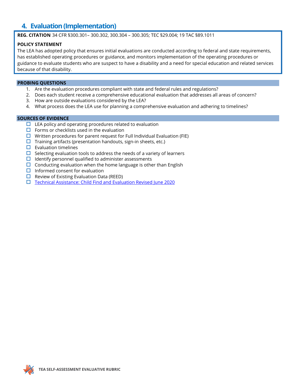### **4. Evaluation (Implementation)**

**REG. CITATION** 34 CFR §300.301– 300.302, 300.304 – 300.305; TEC §29.004; 19 TAC §89.1011

### **POLICY STATEMENT**

The LEA has adopted policy that ensures initial evaluations are conducted according to federal and state requirements, has established operating procedures or guidance, and monitors implementation of the operating procedures or guidance to evaluate students who are suspect to have a disability and a need for special education and related services because of that disability.

### **PROBING QUESTIONS**

- 1. Are the evaluation procedures compliant with state and federal rules and regulations?
- 2. Does each student receive a comprehensive educational evaluation that addresses all areas of concern?
- 3. How are outside evaluations considered by the LEA?
- 4. What process does the LEA use for planning a comprehensive evaluation and adhering to timelines?

- $\Box$  LEA policy and operating procedures related to evaluation
- $\Box$  Forms or checklists used in the evaluation
- $\Box$  Written procedures for parent request for Full Individual Evaluation (FIE)
- $\Box$  Training artifacts (presentation handouts, sign-in sheets, etc.)
- $\square$  Evaluation timelines
- $\Box$  Selecting evaluation tools to address the needs of a variety of learners
- $\Box$  Identify personnel qualified to administer assessments
- $\square$  Conducting evaluation when the home language is other than English
- $\Box$  Informed consent for evaluation
- $\Box$  Review of Existing Evaluation Data (REED)
- $\Box$  [Technical Assistance: Child Find and Evaluation Revised June 2020](https://tea.texas.gov/sites/default/files/Technical%20Assistance%20-%20Child%20Find%20and%20Evaluation%20-%20June%202020%20Revised%28v5%29.pdf)

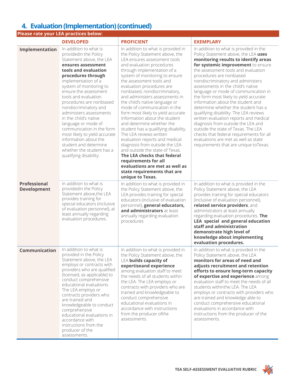### **4. Evaluation(Implementation) (continued)**

|                                           | Please rate your LEA practices below:                                                                                                                                                                                                                                                                                                                                                                                                                                                                                                                     |                                                                                                                                                                                                                                                                                                                                                                                                                                                                                                                                                                                                                                                                                                                                                                                                                             |                                                                                                                                                                                                                                                                                                                                                                                                                                                                                                                                                                                                                                                                                                                                                                       |
|-------------------------------------------|-----------------------------------------------------------------------------------------------------------------------------------------------------------------------------------------------------------------------------------------------------------------------------------------------------------------------------------------------------------------------------------------------------------------------------------------------------------------------------------------------------------------------------------------------------------|-----------------------------------------------------------------------------------------------------------------------------------------------------------------------------------------------------------------------------------------------------------------------------------------------------------------------------------------------------------------------------------------------------------------------------------------------------------------------------------------------------------------------------------------------------------------------------------------------------------------------------------------------------------------------------------------------------------------------------------------------------------------------------------------------------------------------------|-----------------------------------------------------------------------------------------------------------------------------------------------------------------------------------------------------------------------------------------------------------------------------------------------------------------------------------------------------------------------------------------------------------------------------------------------------------------------------------------------------------------------------------------------------------------------------------------------------------------------------------------------------------------------------------------------------------------------------------------------------------------------|
|                                           | <b>DEVELOPED</b>                                                                                                                                                                                                                                                                                                                                                                                                                                                                                                                                          | <b>PROFICIENT</b>                                                                                                                                                                                                                                                                                                                                                                                                                                                                                                                                                                                                                                                                                                                                                                                                           | <b>EXEMPLARY</b>                                                                                                                                                                                                                                                                                                                                                                                                                                                                                                                                                                                                                                                                                                                                                      |
| Implementation                            | In addition to what is<br>providedin the Policy<br>Statement above, the LEA<br>ensures assessment<br>tools and evaluation<br>procedures through<br>implementation of a<br>system of monitoring to<br>ensure the assessment<br>tools and evaluation<br>procedures are nonbiased<br>nondiscriminatory and<br>administers assessments<br>in the child's native<br>language or mode of<br>communication in the form<br>most likely to yield accurate<br>information about the<br>student and determine<br>whether the student has a<br>qualifying disability. | In addition to what is provided in<br>the Policy Statement above, the<br>LEA ensures assessment tools<br>and evaluation procedures<br>through implementation of a<br>system of monitoring to ensure<br>the assessment tools and<br>evaluation procedures are<br>nonbiased, nondiscriminatory,<br>and administers assessments in<br>the child's native language or<br>mode of communication in the<br>form most likely to yield accurate<br>information about the student<br>and determine whether the<br>student has a qualifying disability.<br>The LEA reviews written<br>evaluation reports and medical<br>diagnosis from outside the LEA<br>and outside the state of Texas.<br>The LEA checks that federal<br>requirements for all<br>evaluations are met as well as<br>state requirements that are<br>unique to Texas. | In addition to what is provided in the<br>Policy Statement above, the LEA uses<br>monitoring results to identify areas<br>for systemic improvement to ensure<br>the assessment tools and evaluation<br>procedures are nonbiased<br>nondiscriminatory and administers<br>assessments in the child's native<br>language or mode of communication in<br>the form most likely to yield accurate<br>information about the student and<br>determine whether the student has a<br>qualifying disability. The LEA reviews<br>written evaluation reports and medical<br>diagnosis from outside the LEA and<br>outside the state of Texas. The LEA<br>checks that federal requirements for all<br>evaluations are met as well as state<br>requirements that are unique toTexas. |
| <b>Professional</b><br><b>Development</b> | In addition to what is<br>providedin the Policy<br>Statement above, the LEA<br>provides training for<br>special educators (inclusive<br>of evaluation personnel), at<br>least annually regarding<br>evaluation procedures.                                                                                                                                                                                                                                                                                                                                | In addition to what is provided in<br>the Policy Statement above, the<br>LEA provides training for special<br>educators (inclusive of evaluation<br>personnel), general educators,<br>and administrators at least<br>annually regarding evaluation<br>procedures                                                                                                                                                                                                                                                                                                                                                                                                                                                                                                                                                            | In addition to what is provided in the<br>Policy Statement above, the LEA<br>provides training for special educators<br>(inclusive of evaluation personnel),<br>related service providers, and<br>administrators at least annually<br>regarding evaluation procedures. The<br><b>LEA special and general education</b><br>staff and administration<br>demonstrate high level of<br>knowledge about implementing<br>evaluation procedures.                                                                                                                                                                                                                                                                                                                             |
| Communication                             | In addition to what is<br>provided in the Policy<br>Statement above, the LEA<br>employs or contracts with<br>providers who are qualified<br>(licensed, as applicable) to<br>conduct comprehensive<br>educational evaluations.<br>The LEA employs or<br>contracts providers who<br>are trained and<br>knowledgeable to conduct<br>comprehensive<br>educational evaluations in<br>accordance with<br>instructions from the<br>producer of the<br>assessments.                                                                                               | In addition to what is provided in<br>the Policy Statement above, the<br><b>LEA builds capacity of</b><br>expertiseand experience<br>among evaluation staff to meet<br>the needs of all students within<br>the LEA. The LEA employs or<br>contracts with providers who are<br>trained and knowledgeable to<br>conduct comprehensive<br>educational evaluations in<br>accordance with instructions<br>from the producer ofthe<br>assessments.                                                                                                                                                                                                                                                                                                                                                                                | In addition to what is provided in the<br>Policy Statement above, the LEA<br>monitors for areas of need and<br>adjusts recruitment and retention<br>efforts to ensure long-term capacity<br>of expertise and experience among<br>evaluation staff to meet the needs of all<br>students withinthe LEA. The LEA<br>employs or contracts with providers who<br>are trained and knowledge able to<br>conduct comprehensive educational<br>evaluations in accordance with<br>instructions from the producer of the<br>assessments.                                                                                                                                                                                                                                         |

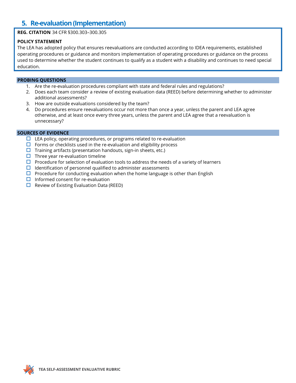### **5. Re-evaluation (Implementation)**

### **REG. CITATION** 34 CFR §300.303–300.305

### **POLICY STATEMENT**

The LEA has adopted policy that ensures reevaluations are conducted according to IDEA requirements, established operating procedures or guidance and monitors implementation of operating procedures or guidance on the process used to determine whether the student continues to qualify as a student with a disability and continues to need special education.

#### **PROBING QUESTIONS**

- 1. Are the re-evaluation procedures compliant with state and federal rules and regulations?
- 2. Does each team consider a review of existing evaluation data (REED) before determining whether to administer additional assessments?
- 3. How are outside evaluations considered by the team?
- 4. Do procedures ensure reevaluations occur not more than once a year, unless the parent and LEA agree otherwise, and at least once every three years, unless the parent and LEA agree that a reevaluation is unnecessary?

- $\Box$  LEA policy, operating procedures, or programs related to re-evaluation
- $\Box$  Forms or checklists used in the re-evaluation and eligibility process
- $\Box$  Training artifacts (presentation handouts, sign-in sheets, etc.)
- $\Box$  Three year re-evaluation timeline
- $\Box$  Procedure for selection of evaluation tools to address the needs of a variety of learners
- $\Box$  Identification of personnel qualified to administer assessments
- $\Box$  Procedure for conducting evaluation when the home language is other than English
- $\Box$  Informed consent for re-evaluation
- $\Box$  Review of Existing Evaluation Data (REED)

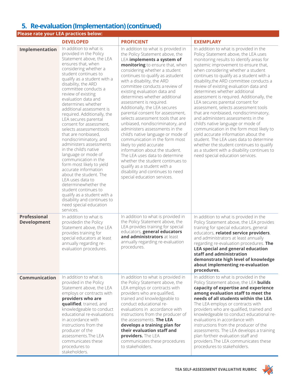### **5. Re-evaluation (Implementation) (continued)**

|                                           | Please rate your LEA practices below:                                                                                                                                                                                                                                                                                                                                                                                                                                                                                                                                                                                                                                                                                                                                                                                                                     |                                                                                                                                                                                                                                                                                                                                                                                                                                                                                                                                                                                                                                                                                                                                                                                                                                                                       |                                                                                                                                                                                                                                                                                                                                                                                                                                                                                                                                                                                                                                                                                                                                                                                                                                                                                          |
|-------------------------------------------|-----------------------------------------------------------------------------------------------------------------------------------------------------------------------------------------------------------------------------------------------------------------------------------------------------------------------------------------------------------------------------------------------------------------------------------------------------------------------------------------------------------------------------------------------------------------------------------------------------------------------------------------------------------------------------------------------------------------------------------------------------------------------------------------------------------------------------------------------------------|-----------------------------------------------------------------------------------------------------------------------------------------------------------------------------------------------------------------------------------------------------------------------------------------------------------------------------------------------------------------------------------------------------------------------------------------------------------------------------------------------------------------------------------------------------------------------------------------------------------------------------------------------------------------------------------------------------------------------------------------------------------------------------------------------------------------------------------------------------------------------|------------------------------------------------------------------------------------------------------------------------------------------------------------------------------------------------------------------------------------------------------------------------------------------------------------------------------------------------------------------------------------------------------------------------------------------------------------------------------------------------------------------------------------------------------------------------------------------------------------------------------------------------------------------------------------------------------------------------------------------------------------------------------------------------------------------------------------------------------------------------------------------|
|                                           | <b>DEVELOPED</b>                                                                                                                                                                                                                                                                                                                                                                                                                                                                                                                                                                                                                                                                                                                                                                                                                                          | <b>PROFICIENT</b>                                                                                                                                                                                                                                                                                                                                                                                                                                                                                                                                                                                                                                                                                                                                                                                                                                                     | <b>EXEMPLARY</b>                                                                                                                                                                                                                                                                                                                                                                                                                                                                                                                                                                                                                                                                                                                                                                                                                                                                         |
| Implementation                            | In addition to what is<br>provided in the Policy<br>Statement above, the LEA<br>ensures that, when<br>considering whether a<br>student continues to<br>qualify as a student with a<br>disability, the ARD<br>committee conducts a<br>review of existing<br>evaluation data and<br>determines whether<br>additional assessment is<br>required. Additionally, the<br>LEA secures parental<br>consent for assessment,<br>selects assessmenttools<br>that are nonbiased,<br>nondiscriminatory, and<br>administers assessments<br>in the child's native<br>language or mode of<br>communication in the<br>form most likely to yield<br>accurate information<br>about the student. The<br>LEA uses data to<br>determinewhether the<br>student continues to<br>qualify as a student with a<br>disability and continues to<br>need special education<br>services. | In addition to what is provided in<br>the Policy Statement above, the<br>LEA implements a system of<br>monitoring to ensure that, when<br>considering whether a student<br>continues to qualify as astudent<br>with a disability, the ARD<br>committee conducts a review of<br>existing evaluation data and<br>determines whether additional<br>assessment is required.<br>Additionally, the LEA secures<br>parental consent for assessment,<br>selects assessment tools that are<br>unbiased, nondiscriminatory, and<br>administers assessments in the<br>child's native language or mode of<br>communication in the form most<br>likely to yield accurate<br>information about the student.<br>The LEA uses data to determine<br>whether the student continues to<br>qualify as a student with a<br>disability and continues to need<br>special education services. | In addition to what is provided in the<br>Policy Statement above, the LEA uses<br>monitoring results to identify areas for<br>systemic improvement to ensure that,<br>when considering whether a student<br>continues to qualify as a student with a<br>disability, the ARD committee conducts a<br>review of existing evaluation data and<br>determines whether additional<br>assessment is required. Additionally, the<br>LEA secures parental consent for<br>assessment, selects assessment tools<br>that are nonbiased, nondiscriminatory,<br>and administers assessments in the<br>child's native language or mode of<br>communication in the form most likely to<br>yield accurate information about the<br>student. The LEA uses data to determine<br>whether the student continues to qualify<br>as a student with a disability continues to<br>need special education services. |
| <b>Professional</b><br><b>Development</b> | In addition to what is<br>providedin the Policy<br>Statement above, the LEA<br>provides training for<br>special educators at least<br>annually regarding re-<br>evaluation procedures.                                                                                                                                                                                                                                                                                                                                                                                                                                                                                                                                                                                                                                                                    | In addition to what is provided in<br>the Policy Statement above, the<br>LEA provides training for special<br>educators, general educators<br>and administrators at least<br>annually regarding re-evaluation<br>procedures.                                                                                                                                                                                                                                                                                                                                                                                                                                                                                                                                                                                                                                          | In addition to what is provided in the<br>Policy Statement above, the LEA provides<br>training for special educators, general<br>educators, related service providers,<br>and administrators at least annually<br>regarding re-evaluation procedures. The<br><b>LEA special and general education</b><br>staff and administration<br>demonstrate high level of knowledge<br>about implementing re-evaluation<br>procedures.                                                                                                                                                                                                                                                                                                                                                                                                                                                              |
| <b>Communication</b>                      | In addition to what is<br>provided in the Policy<br>Statement above, the LEA<br>employs or contracts with<br>providers who are<br>qualified, trained, and<br>knowledgeable to conduct<br>educational re-evaluations<br>in accordance with<br>instructions from the<br>producer of the<br>assessments. The LEA<br>communicates these<br>procedures to<br>stakeholders.                                                                                                                                                                                                                                                                                                                                                                                                                                                                                     | In addition to what is provided in<br>the Policy Statement above, the<br>LEA employs or contracts with<br>providers who are qualified,<br>trained and knowledgeable to<br>conduct educational re-<br>evaluations in accordance with<br>instructions from the producer of<br>the assessments. The LEA<br>develops a training plan for<br>their evaluation staff and<br>providers. The LEA<br>communicates these procedures<br>to stakeholders.                                                                                                                                                                                                                                                                                                                                                                                                                         | In addition to what is provided in the<br>Policy Statement above, the LEA builds<br>capacity of expertise and experience<br>among evaluation staff to meet the<br>needs of all students within the LEA.<br>The LEA employs or contracts with<br>providers who are qualified, trained and<br>knowledgeable to conduct educational re-<br>evaluations in accordance with<br>instructions from the producer of the<br>assessments. The LEA develops a training<br>plan fortheir evaluation staff and<br>providers. The LEA communicates these<br>procedures to stakeholders.                                                                                                                                                                                                                                                                                                                |

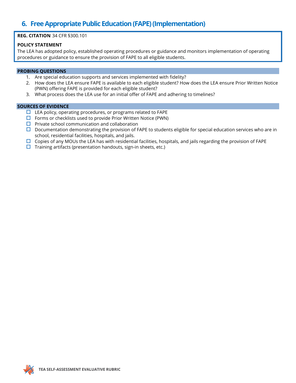### **6. Free Appropriate Public Education (FAPE) (Implementation)**

### **REG. CITATION** 34 CFR §300.101

#### **POLICY STATEMENT**

The LEA has adopted policy, established operating procedures or guidance and monitors implementation of operating procedures or guidance to ensure the provision of FAPE to all eligible students.

#### **PROBING QUESTIONS**

- 1. Are special education supports and services implemented with fidelity?
- 2. How does the LEA ensure FAPE is available to each eligible student? How does the LEA ensure Prior Written Notice (PWN) offering FAPE is provided for each eligible student?
- 3. What process does the LEA use for an initial offer of FAPE and adhering to timelines?

- $\Box$  LEA policy, operating procedures, or programs related to FAPE
- $\square$  Forms or checklists used to provide Prior Written Notice (PWN)
- $\square$  Private school communication and collaboration
- $\square$  Documentation demonstrating the provision of FAPE to students eligible for special education services who are in school, residential facilities, hospitals, and jails.
- $\Box$  Copies of any MOUs the LEA has with residential facilities, hospitals, and jails regarding the provision of FAPE
- $\Box$  Training artifacts (presentation handouts, sign-in sheets, etc.)

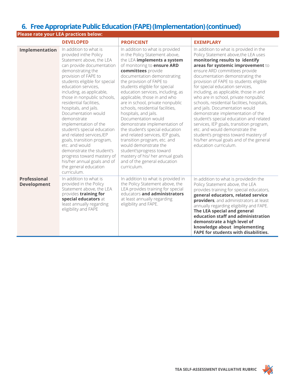### **6. Free Appropriate Public Education (FAPE) (Implementation) (continued)**

| Please rate your LEA practices below:     |                                                                                                                                                                                                                                                                                                                                                                                                                                                                                                                                                                                                                                            |                                                                                                                                                                                                                                                                                                                                                                                                                                                                                                                                                                                                                                                                                                                                       |                                                                                                                                                                                                                                                                                                                                                                                                                                                                                                                                                                                                                                                                                                                                                     |  |
|-------------------------------------------|--------------------------------------------------------------------------------------------------------------------------------------------------------------------------------------------------------------------------------------------------------------------------------------------------------------------------------------------------------------------------------------------------------------------------------------------------------------------------------------------------------------------------------------------------------------------------------------------------------------------------------------------|---------------------------------------------------------------------------------------------------------------------------------------------------------------------------------------------------------------------------------------------------------------------------------------------------------------------------------------------------------------------------------------------------------------------------------------------------------------------------------------------------------------------------------------------------------------------------------------------------------------------------------------------------------------------------------------------------------------------------------------|-----------------------------------------------------------------------------------------------------------------------------------------------------------------------------------------------------------------------------------------------------------------------------------------------------------------------------------------------------------------------------------------------------------------------------------------------------------------------------------------------------------------------------------------------------------------------------------------------------------------------------------------------------------------------------------------------------------------------------------------------------|--|
|                                           | <b>DEVELOPED</b>                                                                                                                                                                                                                                                                                                                                                                                                                                                                                                                                                                                                                           | <b>PROFICIENT</b>                                                                                                                                                                                                                                                                                                                                                                                                                                                                                                                                                                                                                                                                                                                     | <b>EXEMPLARY</b>                                                                                                                                                                                                                                                                                                                                                                                                                                                                                                                                                                                                                                                                                                                                    |  |
| Implementation                            | In addition to what is<br>provided inthe Policy<br>Statement above, the LEA<br>can provide documentation<br>demonstrating the<br>provision of FAPE to<br>students eligible for special<br>education services.<br>including, as applicable,<br>those in nonpublic schools,<br>residential facilities.<br>hospitals, and jails.<br>Documentation would<br>demonstrate<br>implementation of the<br>student's special education<br>and related services, IEP<br>goals, transition program,<br>etc. and would<br>demonstrate the student's<br>progress toward mastery of<br>his/her annual goals and of<br>the general education<br>curriculum. | In addition to what is provided<br>in the Policy Statement above,<br>the LEA implements a system<br>of monitoring to <b>ensure ARD</b><br>committees provide<br>documentation demonstrating<br>the provision of FAPE to<br>students eligible for special<br>education services, including, as<br>applicable, those in and who<br>are in school, private nonpublic<br>schools, residential facilities,<br>hospitals, and jails.<br>Documentation would<br>demonstrate implementation of<br>the student's special education<br>and related services, IEP goals,<br>transition program, etc. and<br>would demonstrate the<br>student'sprogress toward<br>mastery of his/ her annual goals<br>and of the general education<br>curriculum. | In addition to what is provided in the<br>Policy Statement above, the LEA uses<br>monitoring results to identify<br>areas for systemic improvement to<br>ensure ARD committees provide<br>documentation demonstrating the<br>provision of FAPE to students eligible<br>for special education services,<br>including, as applicable, those in and<br>who are in school, private nonpublic<br>schools, residential facilities, hospitals,<br>and jails. Documentation would<br>demonstrate implementation of the<br>student's special education and related<br>services, IEP goals, transition program,<br>etc. and would demonstrate the<br>student's progress toward mastery of<br>his/her annual goals and of the general<br>education curriculum. |  |
| <b>Professional</b><br><b>Development</b> | In addition to what is<br>provided in the Policy<br>Statement above, the LEA<br>provides training for<br>special educators at<br>least annually regarding<br>eligibility and FAPE                                                                                                                                                                                                                                                                                                                                                                                                                                                          | In addition to what is provided in<br>the Policy Statement above, the<br>LEA provides training for special<br>educators and administrators<br>at least annually regarding<br>eligibility and FAPE.                                                                                                                                                                                                                                                                                                                                                                                                                                                                                                                                    | In addition to what is providedin the<br>Policy Statement above, the LEA<br>provides training for special educators,<br>general educators, related service<br>providers, and administrators at least<br>annually regarding eligibility and FAPE.<br>The LEA special and general<br>education staff and administration<br>demonstrate a high level of<br>knowledge about implementing<br><b>FAPE for students with disabilities.</b>                                                                                                                                                                                                                                                                                                                 |  |

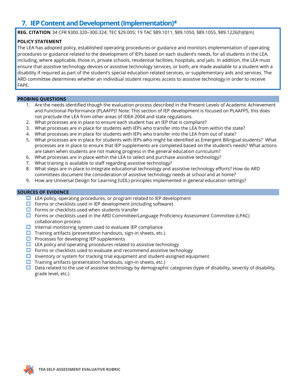### **7. IEP Content and Development (Implementation)\***

**REG. CITATION** 34 CFR §300.320–300.324; TEC §29.005; 19 TAC §89.1011, §89.1050, §89.1055, §89.1226(h)(l)(m)

### **POLICY STATEMENT**

The LEA has adopted policy, established operating procedures or guidance and monitors implementation of operating procedures or guidance related to the development of IEPs based on each student's needs, for all students in the LEA, including, where applicable, those in, private schools, residential facilities, hospitals, and jails. In addition, the LEA must ensure that assistive technology devices or assistive technology services, or both, are made available to a student with a disability if required as part of the student's special education related services, or supplementary aids and services. The ARD committee determines whether an individual student requires access to assistive technology in order to receive FAPE.

### **PROBING QUESTIONS**

- 1. Are the needs identified though the evaluation process described in the Present Levels of Academic Achievement and Functional Performance (PLAAFP)? Note: This section of IEP development is focused on PLAAFPS, this does not preclude the LEA from other areas of IDEA 2004 and state regulations.
- 2. What processes are in place to ensure each student has an IEP that is compliant?
- 3. What processes are in place for students with IEPs who transfer into the LEA from within the state?
- 4. What processes are in place for students with IEPs who transfer into the LEA from out of state?
- 5. What processes are in place for students with IEPs who might be identified as Emergent Bilingual students? What processes are in place to ensure that IEP supplements are completed based on the student's needs? What actions are taken when students are not making progress in the general education curriculum?
- 6. What processes are in place within the LEA to select and purchase assistive technology?
- 7. What training is available to staff regarding assistive technology?
- 8. What steps are in place to integrate educational technology and assistive technology efforts? How do ARD committees document the consideration of assistive technology needs at school and at home?
- 9. How are Universal Design for Learning (UDL) principles implemented in general education settings?

- $\Box$  LEA policy, operating procedures, or program related to IEP development
- $\Box$  Forms or checklists used in IEP development (including software)
- $\Box$  Forms or checklists used when students transfer
- $\Box$  Forms or checklists used in the ARD Committee/Language Proficiency Assessment Committee (LPAC) collaboration process
- $\Box$  Internal monitoring system used to evaluate IEP compliance
- $\Box$  Training artifacts (presentation handouts, sign-in sheets, etc.)
- $\Box$  Processes for developing IEP supplements
- $\Box$  LEA policy and operating procedures related to assistive technology
- $\Box$  Forms or checklists used to evaluate and recommend assistive technology
- $\Box$  Inventory or system for tracking trial equipment and student-assigned equipment
- $\Box$  Training artifacts (presentation handouts, sign-in sheets, etc.)
- $\square$  Data related to the use of assistive technology by demographic categories (type of disability, severity of disability, grade level, etc.)

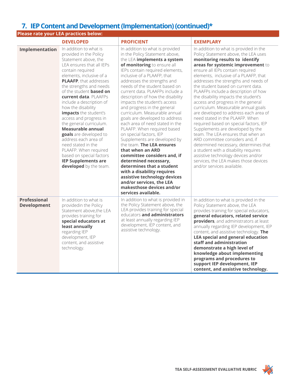### **7. IEP Content and Development (Implementation)(continued)\***

|                                           | Please rate your LEA practices below:                                                                                                                                                                                                                                                                                                                                                                                                                                                                                                                                                                                   |                                                                                                                                                                                                                                                                                                                                                                                                                                                                                                                                                                                                                                                                                                                                                                                                                                                                                              |                                                                                                                                                                                                                                                                                                                                                                                                                                                                                                                                                                                                                                                                                                                                                                                                                                                                                                                 |
|-------------------------------------------|-------------------------------------------------------------------------------------------------------------------------------------------------------------------------------------------------------------------------------------------------------------------------------------------------------------------------------------------------------------------------------------------------------------------------------------------------------------------------------------------------------------------------------------------------------------------------------------------------------------------------|----------------------------------------------------------------------------------------------------------------------------------------------------------------------------------------------------------------------------------------------------------------------------------------------------------------------------------------------------------------------------------------------------------------------------------------------------------------------------------------------------------------------------------------------------------------------------------------------------------------------------------------------------------------------------------------------------------------------------------------------------------------------------------------------------------------------------------------------------------------------------------------------|-----------------------------------------------------------------------------------------------------------------------------------------------------------------------------------------------------------------------------------------------------------------------------------------------------------------------------------------------------------------------------------------------------------------------------------------------------------------------------------------------------------------------------------------------------------------------------------------------------------------------------------------------------------------------------------------------------------------------------------------------------------------------------------------------------------------------------------------------------------------------------------------------------------------|
|                                           | <b>DEVELOPED</b>                                                                                                                                                                                                                                                                                                                                                                                                                                                                                                                                                                                                        | <b>PROFICIENT</b>                                                                                                                                                                                                                                                                                                                                                                                                                                                                                                                                                                                                                                                                                                                                                                                                                                                                            | <b>EXEMPLARY</b>                                                                                                                                                                                                                                                                                                                                                                                                                                                                                                                                                                                                                                                                                                                                                                                                                                                                                                |
| Implementation                            | In addition to what is<br>provided in the Policy<br>Statement above, the<br>LEA ensures that all IEPs<br>contain required<br>elements, inclusive of a<br>PLAAFP, that addresses<br>the strengths and needs<br>of the student <b>based on</b><br><b>current data</b> . PLAAFPs<br>include a description of<br>how the disability<br>impacts the student's<br>access and progress in<br>the general curriculum.<br>Measurable annual<br>goals are developed to<br>address each area of<br>need stated in the<br>PLAAFP. When required<br>based on special factors<br><b>IEP Supplements are</b><br>developed by the team. | In addition to what is provided<br>in the Policy Statement above,<br>the LEA implements a system<br>of monitoring to ensure all<br>IEPs contain required elements,<br>inclusive of a PLAAFP, that<br>addresses the strengths and<br>needs of the student based on<br>current data. PLAAFPs include a<br>description of how the disability<br>impacts the student's access<br>and progress in the general<br>curriculum. Measurable annual<br>goals are developed to address<br>each area of need stated in the<br>PLAAFP. When required based<br>on special factors, IEP<br>Supplements are developed by<br>the team. The LEA ensures<br>that when an ARD<br>committee considers and, if<br>determined necessary,<br>determines that a student<br>with a disability requires<br>assistive technology devices<br>and/or services, the LEA<br>makesthose devices and/or<br>services available. | In addition to what is provided in the<br>Policy Statement above, the LEA uses<br>monitoring results to identify<br>areas for systemic improvement to<br>ensure all IEPs contain required<br>elements, inclusive of a PLAAFP, that<br>addresses the strengths and needs of<br>the student based on current data.<br>PLAAFPs include a description of how<br>the disability impacts the student's<br>access and progress in the general<br>curriculum. Measurable annual goals<br>are developed to address each area of<br>need stated in the PLAAFP. When<br>required based on special factors, IEP<br>Supplements are developed by the<br>team. The LEA ensures that when an<br>ARD committee considers and, if<br>determined necessary, determines that<br>a student with a disability requires<br>assistive technology devices and/or<br>services, the LEA makes those devices<br>and/or services available. |
| <b>Professional</b><br><b>Development</b> | In addition to what is<br>providedin the Policy<br>Statement above, the LEA<br>provides training for<br>special educators at<br>least annually<br>regarding IEP<br>development, IEP<br>content, and assistive<br>technology.                                                                                                                                                                                                                                                                                                                                                                                            | In addition to what is provided in<br>the Policy Statement above, the<br>LEA provides training for special<br>educators and administrators<br>at least annually regarding IEP<br>development, IEP content, and<br>assistive technology.                                                                                                                                                                                                                                                                                                                                                                                                                                                                                                                                                                                                                                                      | In addition to what is provided in the<br>Policy Statement above, the LEA<br>provides training for special educators,<br>general educators, related service<br>providers, and administrators at least<br>annually regarding IEP development, IEP<br>content, and assistive technology. The<br><b>LEA special and general education</b><br>staff and administration<br>demonstrate a high level of<br>knowledge about implementing<br>programs and procedures to<br>support IEP development, IEP<br>content, and assistive technology.                                                                                                                                                                                                                                                                                                                                                                           |

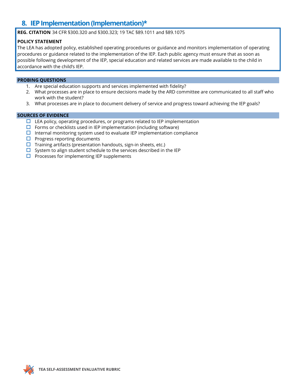### **8. IEP Implementation (Implementation)\***

**REG. CITATION** 34 CFR §300.320 and §300.323; 19 TAC §89.1011 and §89.1075

### **POLICY STATEMENT**

The LEA has adopted policy, established operating procedures or guidance and monitors implementation of operating procedures or guidance related to the implementation of the IEP. Each public agency must ensure that as soon as possible following development of the IEP, special education and related services are made available to the child in accordance with the child's IEP.

### **PROBING QUESTIONS**

- 1. Are special education supports and services implemented with fidelity?
- 2. What processes are in place to ensure decisions made by the ARD committee are communicated to all staff who work with the student?
- 3. What processes are in place to document delivery of service and progress toward achieving the IEP goals?

- $\Box$  LEA policy, operating procedures, or programs related to IEP implementation
- $\Box$  Forms or checklists used in IEP implementation (including software)
- $\Box$  Internal monitoring system used to evaluate IEP implementation compliance
- $\Box$  Progress reporting documents
- $\Box$  Training artifacts (presentation handouts, sign-in sheets, etc.)
- $\square$  System to align student schedule to the services described in the IEP
- $\Box$  Processes for implementing IEP supplements

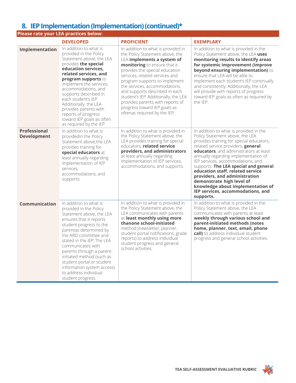### **8. IEP Implementation (Implementation) (continued)\***

|                                           | Please rate your LEA practices below:                                                                                                                                                                                                                                                                                                                                                                          |                                                                                                                                                                                                                                                                                                                                                                                                                                                         |                                                                                                                                                                                                                                                                                                                                                                                                                                                                                                                      |
|-------------------------------------------|----------------------------------------------------------------------------------------------------------------------------------------------------------------------------------------------------------------------------------------------------------------------------------------------------------------------------------------------------------------------------------------------------------------|---------------------------------------------------------------------------------------------------------------------------------------------------------------------------------------------------------------------------------------------------------------------------------------------------------------------------------------------------------------------------------------------------------------------------------------------------------|----------------------------------------------------------------------------------------------------------------------------------------------------------------------------------------------------------------------------------------------------------------------------------------------------------------------------------------------------------------------------------------------------------------------------------------------------------------------------------------------------------------------|
|                                           | <b>DEVELOPED</b>                                                                                                                                                                                                                                                                                                                                                                                               | <b>PROFICIENT</b>                                                                                                                                                                                                                                                                                                                                                                                                                                       | <b>EXEMPLARY</b>                                                                                                                                                                                                                                                                                                                                                                                                                                                                                                     |
| Implementation                            | In addition to what is<br>provided in the Policy<br>Statement above, the LEA<br>provides the special<br>education services,<br>related services, and<br>program supports to<br>implement the services,<br>accommodations, and<br>supports described in<br>each student's IEP.<br>Additionally, the LEA<br>provides parents with<br>reports of progress<br>toward IEP goals as often<br>as required by the IEP. | In addition to what is provided in<br>the Policy Statement above, the<br>LEA implements a system of<br>monitoring to ensure that it<br>provides the special education<br>services, related services and<br>program supports to implement<br>the services, accommodations,<br>and supports described in each<br>student's IEP. Additionally, the LEA<br>provides parents with reports of<br>progress toward IEP goals as<br>oftenas required by the IEP. | In addition to what is provided in the<br>Policy Statement above, the LEA uses<br>monitoring results to identify areas<br>for systemic improvement (improve<br>beyond ensuring implementation) to<br>ensure that LEA will be able to<br>implement each student's IEP continually<br>and consistently. Additionally, the LEA<br>will provide with reports of progress<br>toward IEP goals as often as required by<br>the IEP.                                                                                         |
| <b>Professional</b><br><b>Development</b> | In addition to what is<br>providedin the Policy<br>Statement above, the LEA<br>provides training for<br>special educators at<br>least annually regarding<br>implementation of IEP<br>services,<br>accommodations, and<br>supports.                                                                                                                                                                             | In addition to what is provided in<br>the Policy Statement above, the<br>LEA provides training for special<br>educators. related service<br>providers, and administrators<br>at least annually regarding<br>implementation of IEP services,<br>accommodations, and supports.                                                                                                                                                                            | In addition to what is provided in the<br>Policy Statement above, the LEA<br>provides training for special educators,<br>related service providers, general<br>educators, and administrators at least<br>annually regarding implementation of<br>IEP services, accommodations, and<br>supports. The LEA special and general<br>education staff, related service<br>providers, and administration<br>demonstrate high level of<br>knowledge about implementation of<br>IEP services, accommodations, and<br>supports. |
| Communication                             | In addition to what is<br>provided in the Policy<br>Statement above, the LEA<br>ensures that it reports<br>student progress to the<br>parentas determined by<br>the ARD committee and<br>stated in the IEP. The LEA<br>communicates with<br>parents through a parent-<br>initiated method (such as<br>student portal or student<br>information system access)<br>to address individual<br>student progress.    | In addition to what is provided in<br>the Policy Statement above, the<br>LEA communicates with parents<br>at least monthly using more<br>thanone school-initiated<br>method (newsletter, planner,<br>student portal notifications, grade<br>reports) to address individual<br>student progress and general<br>school activities.                                                                                                                        | In addition to what is provided in the<br>Policy Statement above, the LEA<br>communicates with parents at least<br>weekly through various school and<br>parent-initiated methods (notes<br>home, planner, text, email, phone<br>call) to address individual student<br>progress and general school activities.                                                                                                                                                                                                       |

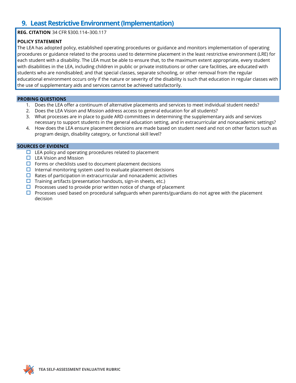### **9. Least Restrictive Environment (Implementation)**

### **REG. CITATION** 34 CFR §300.114–300.117

### **POLICY STATEMENT**

The LEA has adopted policy, established operating procedures or guidance and monitors implementation of operating procedures or guidance related to the process used to determine placement in the least restrictive environment (LRE) for each student with a disability. The LEA must be able to ensure that, to the maximum extent appropriate, every student with disabilities in the LEA, including children in public or private institutions or other care facilities, are educated with students who are nondisabled; and that special classes, separate schooling, or other removal from the regular educational environment occurs only if the nature or severity of the disability is such that education in regular classes with the use of supplementary aids and services cannot be achieved satisfactorily.

#### **PROBING QUESTIONS**

- 1. Does the LEA offer a continuum of alternative placements and services to meet individual student needs?
- 2. Does the LEA Vision and Mission address access to general education for all students?
- 3. What processes are in place to guide ARD committees in determining the supplementary aids and services necessary to support students in the general education setting, and in extracurricular and nonacademic settings?
- 4. How does the LEA ensure placement decisions are made based on student need and not on other factors such as program design, disability category, or functional skill level?

- $\Box$  LEA policy and operating procedures related to placement
- $\Box$  LEA Vision and Mission
- $\Box$  Forms or checklists used to document placement decisions
- $\Box$  Internal monitoring system used to evaluate placement decisions
- $\Box$  Rates of participation in extracurricular and nonacademic activities
- $\Box$  Training artifacts (presentation handouts, sign-in sheets, etc.)
- $\Box$  Processes used to provide prior written notice of change of placement
- $\Box$  Processes used based on procedural safeguards when parents/guardians do not agree with the placement decision

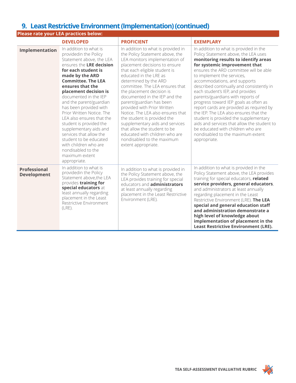### **9. Least Restrictive Environment (Implementation)(continued)**

|                                           | Please rate your LEA practices below:                                                                                                                                                                                                                                                                                                                                                                                                                                                                                                                          |                                                                                                                                                                                                                                                                                                                                                                                                                                                                                                                                                                                                                        |                                                                                                                                                                                                                                                                                                                                                                                                                                                                                                                                                                                                                                                                                                        |
|-------------------------------------------|----------------------------------------------------------------------------------------------------------------------------------------------------------------------------------------------------------------------------------------------------------------------------------------------------------------------------------------------------------------------------------------------------------------------------------------------------------------------------------------------------------------------------------------------------------------|------------------------------------------------------------------------------------------------------------------------------------------------------------------------------------------------------------------------------------------------------------------------------------------------------------------------------------------------------------------------------------------------------------------------------------------------------------------------------------------------------------------------------------------------------------------------------------------------------------------------|--------------------------------------------------------------------------------------------------------------------------------------------------------------------------------------------------------------------------------------------------------------------------------------------------------------------------------------------------------------------------------------------------------------------------------------------------------------------------------------------------------------------------------------------------------------------------------------------------------------------------------------------------------------------------------------------------------|
|                                           | <b>DEVELOPED</b>                                                                                                                                                                                                                                                                                                                                                                                                                                                                                                                                               | <b>PROFICIENT</b>                                                                                                                                                                                                                                                                                                                                                                                                                                                                                                                                                                                                      | <b>EXEMPLARY</b>                                                                                                                                                                                                                                                                                                                                                                                                                                                                                                                                                                                                                                                                                       |
| Implementation                            | In addition to what is<br>providedin the Policy<br>Statement above, the LEA<br>ensures the LRE decision<br>for each student is<br>made by the ARD<br><b>Committee. The LEA</b><br>ensures that the<br>placement decision is<br>documented in the IEP<br>and the parent/guardian<br>has been provided with<br>Prior Written Notice. The<br>LEA also ensures that the<br>student is provided the<br>supplementary aids and<br>services that allow the<br>student to be educated<br>with children who are<br>nondisabled to the<br>maximum extent<br>appropriate. | In addition to what is provided in<br>the Policy Statement above, the<br>LEA monitors implementation of<br>placement decisions to ensure<br>that each eligible student is<br>educated in the LRE as<br>determined by the ARD<br>committee. The LEA ensures that<br>the placement decision is<br>documented in the IEP and the<br>parent/guardian has been<br>provided with Prior Written<br>Notice. The LEA also ensures that<br>the student is provided the<br>supplementary aids and services<br>that allow the student to be<br>educated with children who are<br>nondisabled to the maximum<br>extent appropriate. | In addition to what is provided in the<br>Policy Statement above, the LEA uses<br>monitoring results to identify areas<br>for systemic improvement that<br>ensures the ARD committee will be able<br>to implement the services,<br>accommodations, and supports<br>described continually and consistently in<br>each student's IEP, and provides<br>parents/guardians with reports of<br>progress toward IEP goals as often as<br>report cards are provided as required by<br>the IEP. The LEA also ensures that the<br>student is provided the supplementary<br>aids and services that allow the student to<br>be educated with children who are<br>nondisabled to the maximum extent<br>appropriate. |
| <b>Professional</b><br><b>Development</b> | In addition to what is<br>providedin the Policy<br>Statement above, the LEA<br>provides training for<br>special educators at<br>least annually regarding<br>placement in the Least<br>Restrictive Environment<br>$(LRE)$ .                                                                                                                                                                                                                                                                                                                                     | In addition to what is provided in<br>the Policy Statement above, the<br>LEA provides training for special<br>educators and <b>administrators</b><br>at least annually regarding<br>placement in the Least Restrictive<br>Environment (LRE).                                                                                                                                                                                                                                                                                                                                                                           | In addition to what is provided in the<br>Policy Statement above, the LEA provides<br>training for special educators, related<br>service providers, general educators,<br>and administrators at least annually<br>regarding placement in the Least<br>Restrictive Environment (LRE). The LEA<br>special and general education staff<br>and administration demonstrate a<br>high level of knowledge about<br>implementation of placement in the<br><b>Least Restrictive Environment (LRE).</b>                                                                                                                                                                                                          |

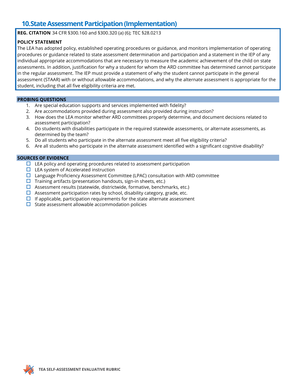### **10.State Assessment Participation (Implementation)**

**REG. CITATION** 34 CFR §300.160 and §300.320 (a) (6); TEC §28.0213

### **POLICY STATEMENT**

The LEA has adopted policy, established operating procedures or guidance, and monitors implementation of operating procedures or guidance related to state assessment determination and participation and a statement in the IEP of any individual appropriate accommodations that are necessary to measure the academic achievement of the child on state assessments. In addition, justification for why a student for whom the ARD committee has determined cannot participate in the regular assessment. The IEP must provide a statement of why the student cannot participate in the general assessment (STAAR) with or without allowable accommodations, and why the alternate assessment is appropriate for the student, including that all five eligibility criteria are met.

#### **PROBING QUESTIONS**

- 1. Are special education supports and services implemented with fidelity?
- 2. Are accommodations provided during assessment also provided during instruction?
- 3. How does the LEA monitor whether ARD committees properly determine, and document decisions related to assessment participation?
- 4. Do students with disabilities participate in the required statewide assessments, or alternate assessments, as determined by the team?
- 5. Do all students who participate in the alternate assessment meet all five eligibility criteria?
- 6. Are all students who participate in the alternate assessment identified with a significant cognitive disability?

- $\Box$  LEA policy and operating procedures related to assessment participation
- $\Box$  LEA system of Accelerated instruction
- $\Box$  Language Proficiency Assessment Committee (LPAC) consultation with ARD committee
- $\Box$  Training artifacts (presentation handouts, sign-in sheets, etc.)
- $\Box$  Assessment results (statewide, districtwide, formative, benchmarks, etc.)
- $\Box$  Assessment participation rates by school, disability category, grade, etc.
- $\Box$  If applicable, participation requirements for the state alternate assessment
- $\Box$  State assessment allowable accommodation policies

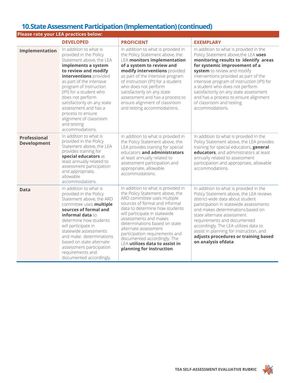### **10.State Assessment Participation (Implementation) (continued)**

|                                           | Please rate your LEA practices below:                                                                                                                                                                                                                                                                                                                                                              |                                                                                                                                                                                                                                                                                                                                                                                                                             |                                                                                                                                                                                                                                                                                                                                                                                                                                                   |  |  |
|-------------------------------------------|----------------------------------------------------------------------------------------------------------------------------------------------------------------------------------------------------------------------------------------------------------------------------------------------------------------------------------------------------------------------------------------------------|-----------------------------------------------------------------------------------------------------------------------------------------------------------------------------------------------------------------------------------------------------------------------------------------------------------------------------------------------------------------------------------------------------------------------------|---------------------------------------------------------------------------------------------------------------------------------------------------------------------------------------------------------------------------------------------------------------------------------------------------------------------------------------------------------------------------------------------------------------------------------------------------|--|--|
|                                           | <b>DEVELOPED</b>                                                                                                                                                                                                                                                                                                                                                                                   | <b>PROFICIENT</b>                                                                                                                                                                                                                                                                                                                                                                                                           | <b>EXEMPLARY</b>                                                                                                                                                                                                                                                                                                                                                                                                                                  |  |  |
| Implementation                            | In addition to what is<br>provided in the Policy<br>Statement above, the LEA<br>implements a system<br>to review and modify<br>interventions provided<br>as part of the intensive<br>program of instruction<br>(IPI) for a student who<br>does not perform<br>satisfactorily on any state<br>assessment and has a<br>process to ensure<br>alignment of classroom<br>and testing<br>accommodations. | In addition to what is provided in<br>the Policy Statement above, the<br><b>LEA monitors implementation</b><br>of a system to review and<br>modify interventions provided<br>as part of the intensive program<br>of instruction (IPI) for a student<br>who does not perform<br>satisfactorily on any state<br>assessment and has a process to<br>ensure alignment of classroom<br>and testing accommodations.               | In addition to what is provided in the<br>Policy Statement above, the LEA uses<br>monitoring results to identify areas<br>for systemic improvement of a<br>system to review and modify<br>interventions provided as part of the<br>intensive program of instruction (IPI) for<br>a student who does not perform<br>satisfactorily on any state assessment<br>and has a process to ensure alignment<br>of classroom and testing<br>accommodations. |  |  |
| <b>Professional</b><br><b>Development</b> | In addition to what is<br>provided in the Policy<br>Statement above, the LEA<br>provides training for<br>special educators at<br>least annually related to<br>assessment participation<br>and appropriate,<br>allowable<br>accommodations.                                                                                                                                                         | In addition to what is provided in<br>the Policy Statement above, the<br>LEA provides training for special<br>educators and administrators<br>at least annually related to<br>assessment participation and<br>appropriate, allowable<br>accommodations.                                                                                                                                                                     | In addition to what is provided in the<br>Policy Statement above, the LEA provides<br>training for special educators, general<br>educators, and administrators at least<br>annually related to assessment<br>participation and appropriate, allowable<br>accommodations.                                                                                                                                                                          |  |  |
| <b>Data</b>                               | In addition to what is<br>provided in the Policy<br>Statement above, the ARD<br>committee uses multiple<br>sources of formal and<br>informal data to<br>determine how students<br>will participate in<br>statewide assessments<br>and make determinations<br>based on state alternate<br>assessment participation<br>requirements and<br>documented accordingly.                                   | In addition to what is provided in<br>the Policy Statement above, the<br>ARD committee uses multiple<br>sources of formal and informal<br>data to determine how students<br>will participate in statewide<br>assessments and makes<br>determinations based on state<br>alternate assessment<br>participation requirements and<br>documented accordingly. The<br>LEA utilizes data to assist in<br>planning for instruction. | In addition to what is provided in the<br>Policy Statement above, the LEA reviews<br>district-wide data about student<br>participation in statewide assessments<br>and makes determinations based on<br>state alternate assessment<br>requirements and documented<br>accordingly. The LEA utilizes data to<br>assist in planning for instruction, and<br>adjusts procedures or training based<br>on analysis ofdata.                              |  |  |

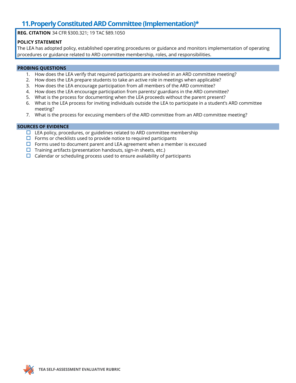### **11.Properly Constituted ARD Committee (Implementation)\***

**REG. CITATION** 34 CFR §300.321; 19 TAC §89.1050

### **POLICY STATEMENT**

The LEA has adopted policy, established operating procedures or guidance and monitors implementation of operating procedures or guidance related to ARD committee membership, roles, and responsibilities.

### **PROBING QUESTIONS**

- 1. How does the LEA verify that required participants are involved in an ARD committee meeting?
- 2. How does the LEA prepare students to take an active role in meetings when applicable?
- 3. How does the LEA encourage participation from all members of the ARD committee?
- 4. How does the LEA encourage participation from parents/ guardians in the ARD committee?
- 5. What is the process for documenting when the LEA proceeds without the parent present?
- 6. What is the LEA process for inviting individuals outside the LEA to participate in a student's ARD committee meeting?
- 7. What is the process for excusing members of the ARD committee from an ARD committee meeting?

- $\Box$  LEA policy, procedures, or guidelines related to ARD committee membership
- $\Box$  Forms or checklists used to provide notice to required participants
- $\Box$  Forms used to document parent and LEA agreement when a member is excused
- $\square$  Training artifacts (presentation handouts, sign-in sheets, etc.)
- $\Box$  Calendar or scheduling process used to ensure availability of participants

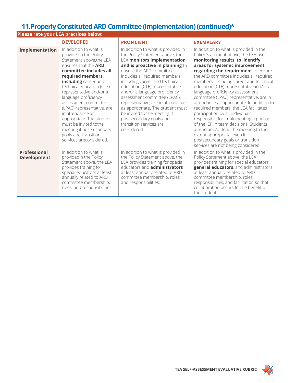### **11.Properly Constituted ARD Committee (Implementation) (continued)\***

| Please rate your LEA practices below: |                                                                                                                                                                                                                                                                                                                                                                                                                                                                                |                                                                                                                                                                                                                                                                                                                                                                                                                                                                                                                                |                                                                                                                                                                                                                                                                                                                                                                                                                                                                                                                                                                                                                                                                                                                                                                           |
|---------------------------------------|--------------------------------------------------------------------------------------------------------------------------------------------------------------------------------------------------------------------------------------------------------------------------------------------------------------------------------------------------------------------------------------------------------------------------------------------------------------------------------|--------------------------------------------------------------------------------------------------------------------------------------------------------------------------------------------------------------------------------------------------------------------------------------------------------------------------------------------------------------------------------------------------------------------------------------------------------------------------------------------------------------------------------|---------------------------------------------------------------------------------------------------------------------------------------------------------------------------------------------------------------------------------------------------------------------------------------------------------------------------------------------------------------------------------------------------------------------------------------------------------------------------------------------------------------------------------------------------------------------------------------------------------------------------------------------------------------------------------------------------------------------------------------------------------------------------|
|                                       | <b>DEVELOPED</b>                                                                                                                                                                                                                                                                                                                                                                                                                                                               | <b>PROFICIENT</b>                                                                                                                                                                                                                                                                                                                                                                                                                                                                                                              | <b>EXEMPLARY</b>                                                                                                                                                                                                                                                                                                                                                                                                                                                                                                                                                                                                                                                                                                                                                          |
| Implementation                        | In addition to what is<br>providedin the Policy<br>Statement above, the LEA<br>ensures that the <b>ARD</b><br>committee includes all<br>required members,<br>including career and<br>technicaleducation (CTE)<br>representative and/or a<br>language proficiency<br>assessment committee<br>(LPAC) representative, are<br>in attendance as<br>appropriate. The student<br>must be invited tothe<br>meeting if postsecondary<br>goals and transition<br>services areconsidered. | In addition to what is provided in<br>the Policy Statement above, the<br><b>LEA monitors implementation</b><br>and is proactive in planning to<br>ensure the ARD committee<br>includes all required members,<br>including career and technical<br>education (CTE) representative<br>and/or a language proficiency<br>assessment committee (LPAC)<br>representative, are in attendance<br>as appropriate. The student must<br>be invited to the meeting if<br>postsecondary goals and<br>transition services are<br>considered. | In addition to what is provided in the<br>Policy Statement above, the LEA uses<br>monitoring results to identify<br>areas for systemic improvement<br>regarding the requirement to ensure<br>the ARD committee includes all required<br>members, including career and technical<br>education (CTE) representativeand/or a<br>language proficiency assessment<br>committee (LPAC) representative, are in<br>attendance as appropriate. In addition to<br>required members, the LEA facilitates<br>participation by all individuals<br>responsible for implementing a portion<br>of the IEP in team decisions. Students<br>attend and/or lead the meeting, to the<br>extent appropriate, even if<br>postsecondary goals or transition<br>services are not being considered. |
| Professional<br><b>Development</b>    | In addition to what is<br>providedin the Policy<br>Statement above, the LEA<br>provides training for<br>special educators at least<br>annually related to ARD<br>committee membership,<br>roles, and responsibilities.                                                                                                                                                                                                                                                         | In addition to what is provided in<br>the Policy Statement above, the<br>LEA provides training for special<br>educators and <b>administrators</b><br>at least annually related to ARD<br>committee membership, roles,<br>and responsibilities.                                                                                                                                                                                                                                                                                 | In addition to what is provided in the<br>Policy Statement above, the LEA<br>provides training for special educators,<br>general educators, and administrators<br>at least annually related to ARD<br>committee membership, roles,<br>responsibilities, and facilitation so that<br>collaboration occurs forthe benefit of<br>the student.                                                                                                                                                                                                                                                                                                                                                                                                                                |

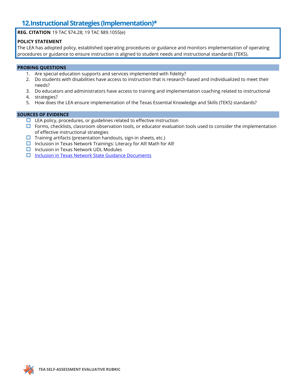### **12.Instructional Strategies (Implementation)\***

**REG. CITATION** 19 TAC §74.28; 19 TAC §89.1055(e)

### **POLICY STATEMENT**

The LEA has adopted policy, established operating procedures or guidance and monitors implementation of operating procedures or guidance to ensure instruction is aligned to student needs and instructional standards (TEKS).

#### **PROBING QUESTIONS**

- 1. Are special education supports and services implemented with fidelity?
- 2. Do students with disabilities have access to instruction that is research-based and individualized to meet their needs?
- 3. Do educators and administrators have access to training and implementation coaching related to instructional
- 4. strategies?
- 5. How does the LEA ensure implementation of the Texas Essential Knowledge and Skills (TEKS) standards?

- $\Box$  LEA policy, procedures, or guidelines related to effective instruction
- $\Box$  Forms, checklists, classroom observation tools, or educator evaluation tools used to consider the implementation of effective instructional strategies
- $\Box$  Training artifacts (presentation handouts, sign-in sheets, etc.)
- $\Box$  Inclusion in Texas Network Trainings: Literacy for All! Math for All!
- $\Box$  Inclusion in Texas Network UDL Modules
- $\Box$  [Inclusion in Texas Network State Guidance Documents](https://www.inclusionintexas.org/page/inc.Inclusion%20Resources?tab=State%20Guidance%20Documents)

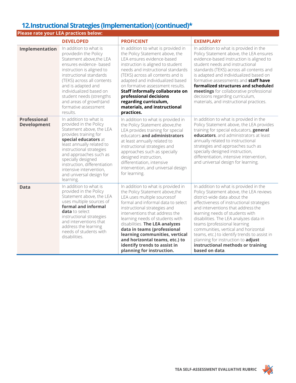### **12.Instructional Strategies (Implementation)(continued)\***

| <b>Please rate your LEA practices below:</b> |                                                                                                                                                                                                                                                                                                                                            |                                                                                                                                                                                                                                                                                                                                                                                                                                                   |                                                                                                                                                                                                                                                                                                                                                                                                                                                                                                        |  |
|----------------------------------------------|--------------------------------------------------------------------------------------------------------------------------------------------------------------------------------------------------------------------------------------------------------------------------------------------------------------------------------------------|---------------------------------------------------------------------------------------------------------------------------------------------------------------------------------------------------------------------------------------------------------------------------------------------------------------------------------------------------------------------------------------------------------------------------------------------------|--------------------------------------------------------------------------------------------------------------------------------------------------------------------------------------------------------------------------------------------------------------------------------------------------------------------------------------------------------------------------------------------------------------------------------------------------------------------------------------------------------|--|
|                                              | <b>DEVELOPED</b>                                                                                                                                                                                                                                                                                                                           | <b>PROFICIENT</b>                                                                                                                                                                                                                                                                                                                                                                                                                                 | <b>EXEMPLARY</b>                                                                                                                                                                                                                                                                                                                                                                                                                                                                                       |  |
| Implementation                               | In addition to what is<br>providedin the Policy<br>Statement above, the LEA<br>ensures evidence- based<br>instruction is aligned to<br>instructional standards<br>(TEKS) across all contents<br>and is adapted and<br>individualized based on<br>student needs (strengths<br>and areas of growth)and<br>formative assessment<br>results.   | In addition to what is provided in<br>the Policy Statement above, the<br>LEA ensures evidence-based<br>instruction is aligned to student<br>needs and instructional standards<br>(TEKS) across all contents and is<br>adapted and individualized based<br>on formative assessment results.<br>Staff informally collaborate on<br>professional decisions<br>regarding curriculum,<br>materials, and instructional<br>practices.                    | In addition to what is provided in the<br>Policy Statement above, the LEA ensures<br>evidence-based instruction is aligned to<br>student needs and instructional<br>standards (TEKS) across all contents and<br>is adapted and individualized based on<br>formative assessments and staff have<br>formalized structures and scheduled<br>meetings for collaborative professional<br>decisions regarding curriculum,<br>materials, and instructional practices.                                         |  |
| <b>Professional</b><br><b>Development</b>    | In addition to what is<br>provided in the Policy<br>Statement above, the LEA<br>provides training for<br>special educators at<br>least annually related to<br>instructional strategies<br>and approaches such as<br>specially designed<br>instruction, differentiation<br>intensive intervention,<br>and universal design for<br>learning. | In addition to what is provided in<br>the Policy Statement above, the<br>LEA provides training for special<br>educators and administrators<br>at least annually related to<br>instructional strategies and<br>approaches such as specially<br>designed instruction,<br>differentiation, intensive<br>intervention, and universal design<br>for learning.                                                                                          | In addition to what is provided in the<br>Policy Statement above, the LEA provides<br>training for special educators, general<br>educators, and administrators at least<br>annually related to instructional<br>strategies and approaches such as<br>specially designed instruction,<br>differentiation, intensive intervention,<br>and universal design for learning.                                                                                                                                 |  |
| <b>Data</b>                                  | In addition to what is<br>provided in the Policy<br>Statement above, the LEA<br>uses multiple sources of<br>formal and informal<br>data to select<br>instructional strategies<br>and interventions that<br>address the learning<br>needs of students with<br>disabilities.                                                                 | In addition to what is provided in<br>the Policy Statement above, the<br>LEA uses multiple sourcesof<br>formal and informal data to select<br>instructional strategies and<br>interventions that address the<br>learning needs of students with<br>disabilities. The LEA analyzes<br>data in teams (professional<br>learning communities, vertical<br>and horizontal teams, etc.) to<br>identify trends to assist in<br>planning for instruction. | In addition to what is provided in the<br>Policy Statement above, the LEA reviews<br>district-wide data about the<br>effectiveness of instructional strategies<br>and interventions that address the<br>learning needs of students with<br>disabilities. The LEA analyzes data in<br>teams (professional learning<br>communities, vertical and horizontal<br>teams, etc.) to identify trends to assist in<br>planning for instruction to adjust<br>instructional methods or training<br>based on data. |  |

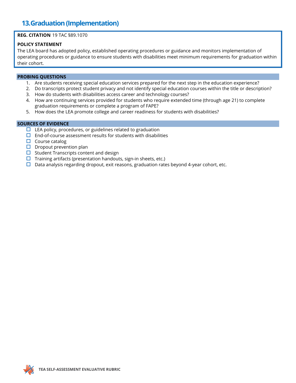### **13.Graduation (Implementation)**

### **REG. CITATION** 19 TAC §89.1070

#### **POLICY STATEMENT**

The LEA board has adopted policy, established operating procedures or guidance and monitors implementation of operating procedures or guidance to ensure students with disabilities meet minimum requirements for graduation within their cohort.

#### **PROBING QUESTIONS**

- 1. Are students receiving special education services prepared for the next step in the education experience?
- 2. Do transcripts protect student privacy and not identify special education courses within the title or description?
- 3. How do students with disabilities access career and technology courses?
- 4. How are continuing services provided for students who require extended time (through age 21) to complete graduation requirements or complete a program of FAPE?
- 5. How does the LEA promote college and career readiness for students with disabilities?

- $\Box$  LEA policy, procedures, or guidelines related to graduation
- $\square$  End-of-course assessment results for students with disabilities
- $\Box$  Course catalog
- $\square$  Dropout prevention plan
- $\Box$  Student Transcripts content and design
- $\Box$  Training artifacts (presentation handouts, sign-in sheets, etc.)
- $\Box$  Data analysis regarding dropout, exit reasons, graduation rates beyond 4-year cohort, etc.

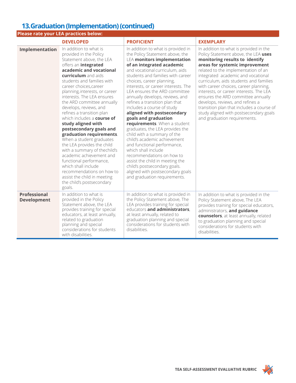# **13.Graduation (Implementation) (continued)**

| Please rate your LEA practices below:     |                                                                                                                                                                                                                                                                                                                                                                                                                                                                                                                                                                                                                                                                                                                                                                  |                                                                                                                                                                                                                                                                                                                                                                                                                                                                                                                                                                                                                                                                                                                                                                                                                                            |                                                                                                                                                                                                                                                                                                                                                                                                                                                                                                                                                                |
|-------------------------------------------|------------------------------------------------------------------------------------------------------------------------------------------------------------------------------------------------------------------------------------------------------------------------------------------------------------------------------------------------------------------------------------------------------------------------------------------------------------------------------------------------------------------------------------------------------------------------------------------------------------------------------------------------------------------------------------------------------------------------------------------------------------------|--------------------------------------------------------------------------------------------------------------------------------------------------------------------------------------------------------------------------------------------------------------------------------------------------------------------------------------------------------------------------------------------------------------------------------------------------------------------------------------------------------------------------------------------------------------------------------------------------------------------------------------------------------------------------------------------------------------------------------------------------------------------------------------------------------------------------------------------|----------------------------------------------------------------------------------------------------------------------------------------------------------------------------------------------------------------------------------------------------------------------------------------------------------------------------------------------------------------------------------------------------------------------------------------------------------------------------------------------------------------------------------------------------------------|
|                                           | <b>DEVELOPED</b>                                                                                                                                                                                                                                                                                                                                                                                                                                                                                                                                                                                                                                                                                                                                                 | <b>PROFICIENT</b>                                                                                                                                                                                                                                                                                                                                                                                                                                                                                                                                                                                                                                                                                                                                                                                                                          | <b>EXEMPLARY</b>                                                                                                                                                                                                                                                                                                                                                                                                                                                                                                                                               |
| Implementation                            | In addition to what is<br>provided in the Policy<br>Statement above, the LEA<br>offers an <i>integrated</i><br>academic and vocational<br>curriculum and aids<br>students and families with<br>career choices, career<br>planning, interests, or career<br>interests. The LEA ensures<br>the ARD committee annually<br>develops, reviews, and<br>refines a transition plan<br>which includes a course of<br>study aligned with<br>postsecondary goals and<br>graduation requirements.<br>When a student graduates<br>the LEA provides the child<br>with a summary of thechild's<br>academic achievement and<br>functional performance,<br>which shall include<br>recommendations on how to<br>assist the child in meeting<br>the child's postsecondary<br>goals. | In addition to what is provided in<br>the Policy Statement above, the<br><b>LEA monitors implementation</b><br>of an integrated academic<br>and vocational curriculum, aids<br>students and families with career<br>choices, career planning,<br>interests, or career interests. The<br>LEA ensures the ARD committee<br>annually develops, reviews, and<br>refines a transition plan that<br>includes a course of study<br>aligned with postsecondary<br>goals and graduation<br>requirements. When a student<br>graduates, the LEA provides the<br>child with a summary of the<br>child's academic achievement<br>and functional performance,<br>which shall include<br>recommendations on how to<br>assist the child in meeting the<br>child's postsecondary goals.<br>aligned with postsecondary goals<br>and graduation requirements. | In addition to what is provided in the<br>Policy Statement above, the LEA uses<br>monitoring results to identify<br>areas for systemic improvement<br>related to the implementation of an<br>integrated academic and vocational<br>curriculum, aids students and families<br>with career choices, career planning,<br>interests, or career interests. The LEA<br>ensures the ARD committee annually<br>develops, reviews, and refines a<br>transition plan that includes a course of<br>study aligned with postsecondary goals<br>and graduation requirements. |
| <b>Professional</b><br><b>Development</b> | In addition to what is<br>provided in the Policy<br>Statement above, the LEA<br>provides training for special<br>educators, at least annually,<br>related to graduation<br>planning and special<br>considerations for students<br>with disabilities.                                                                                                                                                                                                                                                                                                                                                                                                                                                                                                             | In addition to what is provided in<br>the Policy Statement above, The<br>LEA provides training for special<br>educators and administrators,<br>at least annually, related to<br>graduation planning and special<br>considerations for students with<br>disabilities.                                                                                                                                                                                                                                                                                                                                                                                                                                                                                                                                                                       | In addition to what is provided in the<br>Policy Statement above, The LEA<br>provides training for special educators,<br>administrators, and guidance<br>counselors, at least annually, related<br>to graduation planning and special<br>considerations for students with<br>disabilities.                                                                                                                                                                                                                                                                     |

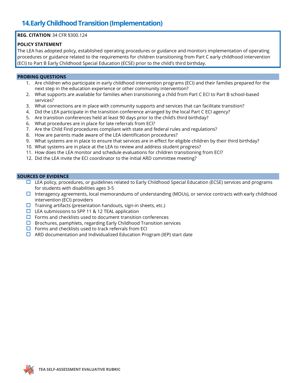### **14.Early Childhood Transition (Implementation)**

### **REG. CITATION** 34 CFR §300.124

### **POLICY STATEMENT**

The LEA has adopted policy, established operating procedures or guidance and monitors implementation of operating procedures or guidance related to the requirements for children transitioning from Part C early childhood intervention (ECI) to Part B Early Childhood Special Education (ECSE) prior to the child's third birthday.

### **PROBING QUESTIONS**

- 1. Are children who participate in early childhood intervention programs (ECI) and their families prepared for the next step in the education experience or other community intervention?
- 2. What supports are available for families when transitioning a child from Part C ECI to Part B school-based services?
- 3. What connections are in place with community supports and services that can facilitate transition?
- 4. Did the LEA participate in the transition conference arranged by the local Part C ECI agency?
- 5. Are transition conferences held at least 90 days prior to the child's third birthday?
- 6. What procedures are in place for late referrals from ECI?
- 7. Are the Child Find procedures compliant with state and federal rules and regulations?
- 8. How are parents made aware of the LEA identification procedures?
- 9. What systems are in place to ensure that services are in effect for eligible children by their third birthday?
- 10. What systems are in place at the LEA to review and address student progress?
- 11. How does the LEA monitor and schedule evaluations for children transitioning from ECI?
- 12. Did the LEA invite the ECI coordinator to the initial ARD committee meeting?

- $\Box$  LEA policy, procedures, or guidelines related to Early Childhood Special Education (ECSE) services and programs for students with disabilities ages 3-5
- $\Box$  Interagency agreements, local memorandums of understanding (MOUs), or service contracts with early childhood intervention (ECI) providers
- $\Box$  Training artifacts (presentation handouts, sign-in sheets, etc.)
- $\Box$  LEA submissions to SPP 11 & 12 TEAL application
- $\Box$  Forms and checklists used to document transition conferences
- $\Box$  Brochures, pamphlets, regarding Early Childhood Transition services
- $\Box$  Forms and checklists used to track referrals from ECI
- $\Box$  ARD documentation and Individualized Education Program (IEP) start date

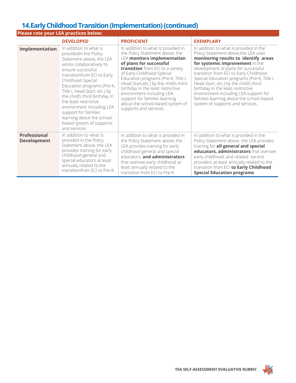### **14.Early Childhood Transition (Implementation)(continued)**

| Please rate your LEA practices below:     |                                                                                                                                                                                                                                                                                                                                                                                                                                           |                                                                                                                                                                                                                                                                                                                                                                                                                                                            |                                                                                                                                                                                                                                                                                                                                                                                                                                                                                                   |
|-------------------------------------------|-------------------------------------------------------------------------------------------------------------------------------------------------------------------------------------------------------------------------------------------------------------------------------------------------------------------------------------------------------------------------------------------------------------------------------------------|------------------------------------------------------------------------------------------------------------------------------------------------------------------------------------------------------------------------------------------------------------------------------------------------------------------------------------------------------------------------------------------------------------------------------------------------------------|---------------------------------------------------------------------------------------------------------------------------------------------------------------------------------------------------------------------------------------------------------------------------------------------------------------------------------------------------------------------------------------------------------------------------------------------------------------------------------------------------|
|                                           | <b>DEVELOPED</b>                                                                                                                                                                                                                                                                                                                                                                                                                          | <b>PROFICIENT</b>                                                                                                                                                                                                                                                                                                                                                                                                                                          | <b>EXEMPLARY</b>                                                                                                                                                                                                                                                                                                                                                                                                                                                                                  |
| Implementation                            | In addition to what is<br>providedin the Policy<br>Statement above, the LEA<br>works collaboratively to<br>ensure successful<br>transitionfrom ECI to Early<br>Childhood Special<br>Education programs (Pre-K,<br>Title I, Head Start, etc.) by<br>the child's third birthday in<br>the least restrictive<br>environment including LEA<br>support for families<br>learning about the school-<br>based system of supports<br>and services. | In addition to what is provided in<br>the Policy Statement above, the<br><b>LEA monitors implementation</b><br>of plans for successful<br>transition from ECI to a variety<br>of Early Childhood Special<br>Education programs (Pre-K, Title I,<br>Head Start, etc.) by the child's third<br>birthday in the least restrictive<br>environment including LEA<br>support for families learning<br>about the school-based system of<br>supports and services. | In addition to what is provided in the<br>Policy Statement above, the LEA uses<br>monitoring results to identify areas<br>for systemic improvement in the<br>development of plans for successful<br>transition from ECI to Early Childhood<br>Special Education programs (Pre-K, Title I,<br>Head Start, etc.) by the child's third<br>birthday in the least restrictive<br>environment including LEA support for<br>families learning about the school-based<br>system of supports and services. |
| <b>Professional</b><br><b>Development</b> | In addition to what is<br>provided in the Policy<br>Statement above, the LEA<br>provides training for early<br>childhood general and<br>special educators at least<br>annually related to the<br>transitionfrom ECI to Pre-K.                                                                                                                                                                                                             | In addition to what is provided in<br>the Policy Statement above, the<br>LEA provides training for early<br>childhood general and special<br>educators, and administrators<br>that oversee early childhood at<br>least annually related to the<br>transition from ECI to Pre-K.                                                                                                                                                                            | In addition to what is provided in the<br>Policy Statement above, the LEA provides<br>training for all general and special<br>educators, administrators that oversee<br>early childhood, and related service<br>providers at least annually related to the<br>transition from ECI to Early Childhood<br><b>Special Education programs</b>                                                                                                                                                         |

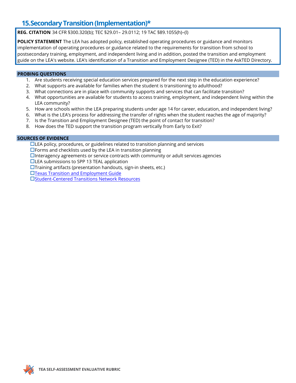### **15.Secondary Transition (Implementation)\***

**REG. CITATION** 34 CFR §300.320(b); TEC §29.01– 29.0112; 19 TAC §89.1055(h)–(l)

**POLICY STATEMENT** The LEA has adopted policy, established operating procedures or guidance and monitors implementation of operating procedures or guidance related to the requirements for transition from school to postsecondary training, employment, and independent living and in addition, posted the transition and employment guide on the LEA's website. LEA's identification of a Transition and Employment Designee (TED) in the AskTED Directory.

### **PROBING QUESTIONS**

- 1. Are students receiving special education services prepared for the next step in the education experience?
- 2. What supports are available for families when the student is transitioning to adulthood?
- 3. What connections are in place with community supports and services that can facilitate transition?
- 4. What opportunities are available for students to access training, employment, and independent living within the LEA community?
- 5. How are schools within the LEA preparing students under age 14 for career, education, and independent living?
- 6. What is the LEA's process for addressing the transfer of rights when the student reaches the age of majority?
- 7. Is the Transition and Employment Designee (TED) the point of contact for transition?
- 8. How does the TED support the transition program vertically from Early to Exit?

### **SOURCES OF EVIDENCE**

 $\Box$ LEA policy, procedures, or guidelines related to transition planning and services  $\square$  Forms and checklists used by the LEA in transition planning  $\Box$ Interagency agreements or service contracts with community or adult services agencies  $\Box$  LEA submissions to SPP 13 TEAL application  $\square$ Training artifacts (presentation handouts, sign-in sheets, etc.) Texas Transition and Employment Guide Student-Centered Transitions Network Resources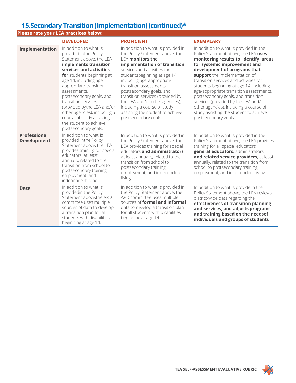### **15.Secondary Transition (Implementation)(continued)\***

| Please rate your LEA practices below:     |                                                                                                                                                                                                                                                                                                                                                                                                                                  |                                                                                                                                                                                                                                                                                                                                                                                                                                                      |                                                                                                                                                                                                                                                                                                                                                                                                                                                                                                                                                    |
|-------------------------------------------|----------------------------------------------------------------------------------------------------------------------------------------------------------------------------------------------------------------------------------------------------------------------------------------------------------------------------------------------------------------------------------------------------------------------------------|------------------------------------------------------------------------------------------------------------------------------------------------------------------------------------------------------------------------------------------------------------------------------------------------------------------------------------------------------------------------------------------------------------------------------------------------------|----------------------------------------------------------------------------------------------------------------------------------------------------------------------------------------------------------------------------------------------------------------------------------------------------------------------------------------------------------------------------------------------------------------------------------------------------------------------------------------------------------------------------------------------------|
|                                           | <b>DEVELOPED</b>                                                                                                                                                                                                                                                                                                                                                                                                                 | <b>PROFICIENT</b>                                                                                                                                                                                                                                                                                                                                                                                                                                    | <b>EXEMPLARY</b>                                                                                                                                                                                                                                                                                                                                                                                                                                                                                                                                   |
| Implementation                            | In addition to what is<br>provided inthe Policy<br>Statement above, the LEA<br>implements transition<br>services and activities<br>for students beginning at<br>age 14, including age-<br>appropriate transition<br>assessments,<br>postsecondary goals, and<br>transition services<br>(provided bythe LEA and/or<br>other agencies), including a<br>course of study assisting<br>the student to achieve<br>postsecondary goals. | In addition to what is provided in<br>the Policy Statement above, the<br><b>LEA monitors the</b><br>implementation of transition<br>services and activities for<br>studentsbeginning at age 14,<br>including age-appropriate<br>transition assessments,<br>postsecondary goals, and<br>transition services (provided by<br>the LEA and/or otheragencies),<br>including a course of study<br>assisting the student to achieve<br>postsecondary goals. | In addition to what is provided in the<br>Policy Statement above, the LEA uses<br>monitoring results to identify areas<br>for systemic improvement and<br>development of programs that<br>support the implementation of<br>transition services and activities for<br>students beginning at age 14, including<br>age-appropriate transition assessments,<br>postsecondary goals, and transition<br>services (provided by the LEA and/or<br>other agencies), including a course of<br>study assisting the student to achieve<br>postsecondary goals. |
| <b>Professional</b><br><b>Development</b> | In addition to what is<br>provided inthe Policy<br>Statement above, the LEA<br>provides training for special<br>educators, at least<br>annually, related to the<br>transition from school to<br>postsecondary training,<br>employment, and<br>independent living.                                                                                                                                                                | In addition to what is provided in<br>the Policy Statement above, the<br>LEA provides training for special<br>educators and administrators<br>at least annually, related to the<br>transition from school to<br>postsecondary training,<br>employment, and independent<br>living.                                                                                                                                                                    | In addition to what is provided in the<br>Policy Statement above, the LEA provides<br>training for all special educators,<br>general educators, administrators,<br>and related service providers, at least<br>annually, related to the transition from<br>school to postsecondary training,<br>employment, and independent living.                                                                                                                                                                                                                 |
| <b>Data</b>                               | In addition to what is<br>providedin the Policy<br>Statement above, the ARD<br>committee uses multiple<br>sources of data to develop<br>a transition plan for all<br>students with disabilities<br>beginning at age 14.                                                                                                                                                                                                          | In addition to what is provided in<br>the Policy Statement above, the<br>ARD committee uses multiple<br>sources of formal and informal<br>data to develop a transition plan<br>for all students with disabilities<br>beginning at age 14.                                                                                                                                                                                                            | In addition to what is provide in the<br>Policy Statement above, the LEA reviews<br>district-wide data regarding the<br>effectiveness of transition planning<br>and services, and adjusts programs<br>and training based on the needsof<br>individuals and groups of students                                                                                                                                                                                                                                                                      |

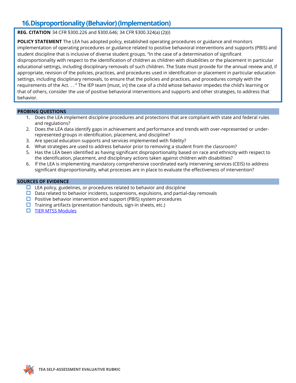### **16.Disproportionality (Behavior) (Implementation)**

**REG. CITATION** 34 CFR §300.226 and §300.646; 34 CFR §300.324(a) (2)(i)

**POLICY STATEMENT** The LEA has adopted policy, established operating procedures or guidance and monitors implementation of operating procedures or guidance related to positive behavioral interventions and supports (PBIS) and student discipline that is inclusive of diverse student groups. "In the case of a determination of significant disproportionality with respect to the identification of children as children with disabilities or the placement in particular educational settings, including disciplinary removals of such children. The State must provide for the annual review and, if appropriate, revision of the policies, practices, and procedures used in identification or placement in particular education settings, including disciplinary removals, to ensure that the policies and practices, and procedures comply with the requirements of the Act. . . " The IEP team [must, in] the case of a child whose behavior impedes the child's learning or that of others, consider the use of positive behavioral interventions and supports and other strategies, to address that behavior.

### **PROBING QUESTIONS**

- 1. Does the LEA implement discipline procedures and protections that are compliant with state and federal rules and regulations?
- 2. Does the LEA data identify gaps in achievement and performance and trends with over-represented or underrepresented groups in identification, placement, and discipline?
- 3. Are special education supports and services implemented with fidelity?
- 4. What strategies are used to address behavior prior to removing a student from the classroom?
- 5. Has the LEA been identified as having significant disproportionality based on race and ethnicity with respect to the identification, placement, and disciplinary actions taken against children with disabilities?
- 6. If the LEA is implementing mandatory comprehensive coordinated early intervening services (CEIS) to address significant disproportionality, what processes are in place to evaluate the effectiveness of intervention?

- $\Box$  LEA policy, guidelines, or procedures related to behavior and discipline
- $\Box$  Data related to behavior incidents, suspensions, expulsions, and partial-day removals
- $\Box$  Positive behavior intervention and support (PBIS) system procedures
- $\Box$  Training artifacts (presentation handouts, sign-in sheets, etc.)
- **[TIER MTSS Modules](https://tier.tea.texas.gov/module)**

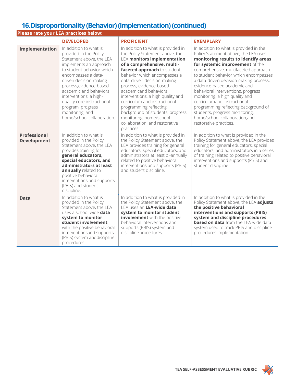### **16.Disproportionality (Behavior) (Implementation)(continued)**

| Please rate your LEA practices below:     |                                                                                                                                                                                                                                                                                                                                                                          |                                                                                                                                                                                                                                                                                                                                                                                                                                                                                                            |                                                                                                                                                                                                                                                                                                                                                                                                                                                                                                                                                                  |
|-------------------------------------------|--------------------------------------------------------------------------------------------------------------------------------------------------------------------------------------------------------------------------------------------------------------------------------------------------------------------------------------------------------------------------|------------------------------------------------------------------------------------------------------------------------------------------------------------------------------------------------------------------------------------------------------------------------------------------------------------------------------------------------------------------------------------------------------------------------------------------------------------------------------------------------------------|------------------------------------------------------------------------------------------------------------------------------------------------------------------------------------------------------------------------------------------------------------------------------------------------------------------------------------------------------------------------------------------------------------------------------------------------------------------------------------------------------------------------------------------------------------------|
|                                           | <b>DEVELOPED</b>                                                                                                                                                                                                                                                                                                                                                         | <b>PROFICIENT</b>                                                                                                                                                                                                                                                                                                                                                                                                                                                                                          | <b>EXEMPLARY</b>                                                                                                                                                                                                                                                                                                                                                                                                                                                                                                                                                 |
| Implementation                            | In addition to what is<br>provided in the Policy<br>Statement above, the LEA<br>implements an approach<br>to student behavior which<br>encompasses a data-<br>driven decision-making<br>process, evidence-based<br>academic and behavioral<br>interventions, a high-<br>quality core instructional<br>program, progress<br>monitoring, and<br>home/school collaboration. | In addition to what is provided in<br>the Policy Statement above, the<br><b>LEA monitors implementation</b><br>of a comprehensive, multi-<br>faceted approach to student<br>behavior which encompasses a<br>data-driven decision-making<br>process, evidence-based<br>academicand behavioral<br>interventions, a high quality and<br>curriculum and instructional<br>programming reflecting<br>background of students, progress<br>monitoring, home/school<br>collaboration, and restorative<br>practices. | In addition to what is provided in the<br>Policy Statement above, the LEA uses<br>monitoring results to identify areas<br>for systemic improvement of the<br>comprehensive, multifaceted approach<br>to student behavior which encompasses<br>a data-driven decision-making process,<br>evidence-based academic and<br>behavioral interventions, progress<br>monitoring, a high quality and<br>curriculumand instructional<br>programming reflecting background of<br>students, progress monitoring,<br>home/school collaboration, and<br>restorative practices. |
| <b>Professional</b><br><b>Development</b> | In addition to what is<br>provided in the Policy<br>Statement above, the LEA<br>provides training for<br>general educators,<br>special educators, and<br>administrators at least<br>annually related to<br>positive behavioral<br>interventions and supports<br>(PBIS) and student<br>discipline.                                                                        | In addition to what is provided in<br>the Policy Statement above, the<br>LEA provides training for general<br>educators, special educators, and<br>administrators at least bi-annually<br>related to positive behavioral<br>interventions and supports (PBIS)<br>and student discipline.                                                                                                                                                                                                                   | In addition to what is provided in the<br>Policy Statement above, the LEA provides<br>training for general educators, special<br>educators, and administrators in a series<br>of training related to positive behavioral<br>interventions and supports (PBIS) and<br>student discipline                                                                                                                                                                                                                                                                          |
| <b>Data</b>                               | In addition to what is<br>provided in the Policy<br>Statement above, the LEA<br>uses a school-wide data<br>system to monitor<br>student involvement<br>with the positive behavioral<br>interventionsand supports<br>(PBIS) system anddiscipline<br>procedures.                                                                                                           | In addition to what is provided in<br>the Policy Statement above, the<br>LEA uses an LEA-wide data<br>system to monitor student<br>involvement with the positive<br>behavioral interventions and<br>supports (PBIS) system and<br>discipline procedures.                                                                                                                                                                                                                                                   | In addition to what is provided in the<br>Policy Statement above, the LEA adjusts<br>the positive behavioral<br>interventions and supports (PBIS)<br>system and discipline procedures<br><b>based on data</b> from the LEA-wide data<br>system used to track PBIS and discipline<br>procedures implementation.                                                                                                                                                                                                                                                   |

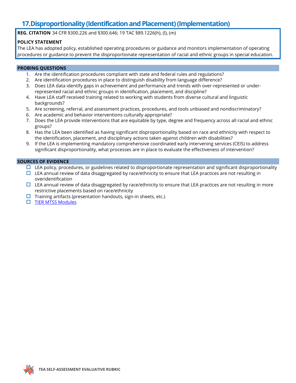### **17.Disproportionality (Identification and Placement) (Implementation)**

**REG. CITATION** 34 CFR §300.226 and §300.646; 19 TAC §89.1226(h), (l), (m)

### **POLICY STATEMENT**

The LEA has adopted policy, established operating procedures or guidance and monitors implementation of operating procedures or guidance to prevent the disproportionate representation of racial and ethnic groups in special education.

#### **PROBING QUESTIONS**

- 1. Are the identification procedures compliant with state and federal rules and regulations?
- 2. Are identification procedures in place to distinguish disability from language difference?
- 3. Does LEA data identify gaps in achievement and performance and trends with over-represented or underrepresented racial and ethnic groups in identification, placement, and discipline?
- 4. Have LEA staff received training related to working with students from diverse cultural and linguistic backgrounds?
- 5. Are screening, referral, and assessment practices, procedures, and tools unbiased and nondiscriminatory?
- 6. Are academic and behavior interventions culturally appropriate?
- 7. Does the LEA provide interventions that are equitable by type, degree and frequency across all racial and ethnic groups?
- 8. Has the LEA been identified as having significant disproportionality based on race and ethnicity with respect to the identification, placement, and disciplinary actions taken against children with disabilities?
- 9. If the LEA is implementing mandatory comprehensive coordinated early intervening services (CEIS) to address significant disproportionality, what processes are in place to evaluate the effectiveness of intervention?

- $\Box$  LEA policy, procedures, or guidelines related to disproportionate representation and significant disproportionality
- $\Box$  LEA annual review of data disaggregated by race/ethnicity to ensure that LEA practices are not resulting in overidentification
- $\Box$  LEA annual review of data disaggregated by race/ethnicity to ensure that LEA practices are not resulting in more restrictive placements based on race/ethnicity
- $\Box$  Training artifacts (presentation handouts, sign-in sheets, etc.)
- $\Box$  [TIER MTSS Modules](https://tier.tea.texas.gov/module)

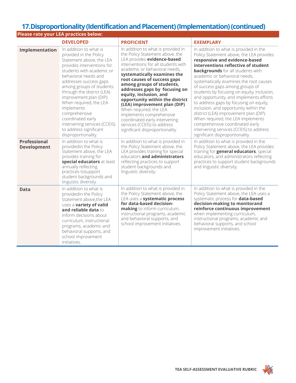### **17.Disproportionality (Identification and Placement) (Implementation) (continued)**

|                                           | Please rate your LEA practices below:                                                                                                                                                                                                                                                                                                                                                                                                         |                                                                                                                                                                                                                                                                                                                                                                                                                                                                                                                                                                 |                                                                                                                                                                                                                                                                                                                                                                                                                                                                                                                                                                                                                                                                                                   |
|-------------------------------------------|-----------------------------------------------------------------------------------------------------------------------------------------------------------------------------------------------------------------------------------------------------------------------------------------------------------------------------------------------------------------------------------------------------------------------------------------------|-----------------------------------------------------------------------------------------------------------------------------------------------------------------------------------------------------------------------------------------------------------------------------------------------------------------------------------------------------------------------------------------------------------------------------------------------------------------------------------------------------------------------------------------------------------------|---------------------------------------------------------------------------------------------------------------------------------------------------------------------------------------------------------------------------------------------------------------------------------------------------------------------------------------------------------------------------------------------------------------------------------------------------------------------------------------------------------------------------------------------------------------------------------------------------------------------------------------------------------------------------------------------------|
|                                           | <b>DEVELOPED</b>                                                                                                                                                                                                                                                                                                                                                                                                                              | <b>PROFICIENT</b>                                                                                                                                                                                                                                                                                                                                                                                                                                                                                                                                               | <b>EXEMPLARY</b>                                                                                                                                                                                                                                                                                                                                                                                                                                                                                                                                                                                                                                                                                  |
| Implementation                            | In addition to what is<br>provided in the Policy<br>Statement above, the LEA<br>provides interventions for<br>students with academic or<br>behavioral needs and<br>addresses success gaps<br>among groups of students<br>through the district (LEA)<br>improvement plan (DIP).<br>When required, the LEA<br>implements<br>comprehensive<br>coordinated early<br>intervening services (CCEIS)<br>to address significant<br>disproportionality. | In addition to what is provided in<br>the Policy Statement above, the<br>LEA provides evidence-based<br>interventions for all students with<br>academic or behavioral needs.<br>systematically examines the<br>root causes of success gaps<br>among groups of students,<br>addresses gaps by focusing on<br>equity, inclusion, and<br>opportunity within the district<br>(LEA) improvement plan (DIP).<br>When required, the LEA<br>implements comprehensive<br>coordinated early intervening<br>services (CCEIS) to address<br>significant disproportionality. | In addition to what is provided in the<br>Policy Statement above, the LEA provides<br>responsive and evidence-based<br>interventions reflective of student<br><b>backgrounds</b> for all students with<br>academic or behavioral needs,<br>systematically examines the root causes<br>of success gaps among groups of<br>students by focusing on equity, inclusion,<br>and opportunity, and implements efforts<br>to address gaps by focusing on equity,<br>inclusion, and opportunity within the<br>district (LEA) improvement plan (DIP).<br>When required, the LEA implements<br>comprehensive coordinated early<br>intervening services (CCEIS) to address<br>significant disproportionality. |
| <b>Professional</b><br><b>Development</b> | In addition to what is<br>providedin the Policy<br>Statement above, the LEA<br>provides training for<br>special educators at least<br>annually reflecting<br>practices tosupport<br>student backgrounds and<br>linguistic diversity.                                                                                                                                                                                                          | In addition to what is provided in<br>the Policy Statement above, the<br>LEA provides training for special<br>educators and administrators<br>reflecting practices to support<br>student backgrounds and<br>linguistic diversity.                                                                                                                                                                                                                                                                                                                               | In addition to what is provided in the<br>Policy Statement above, the LEA provides<br>training for <b>general educators</b> , special<br>educators, and administrators reflecting<br>practices to support student backgrounds<br>and linguistic diversity.                                                                                                                                                                                                                                                                                                                                                                                                                                        |
| <b>Data</b>                               | In addition to what is<br>providedin the Policy<br>Statement above, the LEA<br>uses a variety of valid<br>and reliable data to<br>inform decisions about<br>curriculum, instructional<br>programs, academic and<br>behavioral supports, and<br>school improvement<br>initiatives.                                                                                                                                                             | In addition to what is provided in<br>the Policy Statement above, the<br>LEA uses a systematic process<br>for data-based decision-<br>making to inform curriculum,<br>instructional programs, academic<br>and behavioral supports, and<br>school improvement initiatives.                                                                                                                                                                                                                                                                                       | In addition to what is provided in the<br>Policy Statement above, the LEA uses a<br>systematic process for data-based<br>decision-making to monitorand<br>reinforce continuous improvement<br>when implementing curriculum,<br>instructional programs, academic and<br>behavioral supports, and school<br>improvement initiatives.                                                                                                                                                                                                                                                                                                                                                                |

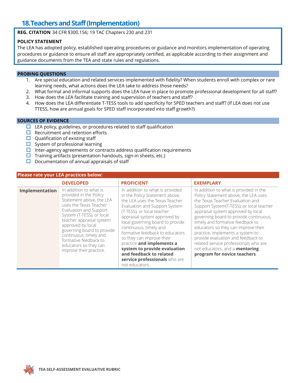### **18.Teachers and Staff (Implementation)**

**REG. CITATION** 34 CFR §300.156; 19 TAC Chapters 230 and 231

### **POLICY STATEMENT**

The LEA has adopted policy, established operating procedures or guidance and monitors implementation of operating procedures or guidance to ensure all staff are appropriately certified, as applicable according to their assignment and guidance documents from the TEA and state rules and regulations.

#### **PROBING QUESTIONS**

- 1. Are special education and related services implemented with fidelity? When students enroll with complex or rare learning needs, what actions does the LEA take to address those needs?
- 2. What formal and informal supports does the LEA have in place to promote professional development for all staff?
- 3. How does the LEA facilitate training and supervision of teachers and staff?
- 4. How does the LEA differentiate T-TESS tools to add specificity for SPED teachers and staff? (If LEA does not use TTESS, how are annual goals for SPED staff incorporated into staff growth?)

- $\Box$  LEA policy, guidelines, or procedures related to staff qualification
- $\Box$  Recruitment and retention efforts
- $\Box$  Qualification of existing staff
- $\square$  System of professional learning
- $\Box$  Inter-agency agreements or contracts address qualification requirements
- $\Box$  Training artifacts (presentation handouts, sign-in sheets, etc.)
- $\square$  Documentation of annual appraisals of staff

| Please rate your LEA practices below: |                                                                                                                                                                                                                                                                                                                                                     |                                                                                                                                                                                                                                                                                                                                                                                                                                                                             |                                                                                                                                                                                                                                                                                                                                                                                                                                                                                                                       |
|---------------------------------------|-----------------------------------------------------------------------------------------------------------------------------------------------------------------------------------------------------------------------------------------------------------------------------------------------------------------------------------------------------|-----------------------------------------------------------------------------------------------------------------------------------------------------------------------------------------------------------------------------------------------------------------------------------------------------------------------------------------------------------------------------------------------------------------------------------------------------------------------------|-----------------------------------------------------------------------------------------------------------------------------------------------------------------------------------------------------------------------------------------------------------------------------------------------------------------------------------------------------------------------------------------------------------------------------------------------------------------------------------------------------------------------|
|                                       | <b>DEVELOPED</b>                                                                                                                                                                                                                                                                                                                                    | <b>PROFICIENT</b>                                                                                                                                                                                                                                                                                                                                                                                                                                                           | <b>EXEMPLARY</b>                                                                                                                                                                                                                                                                                                                                                                                                                                                                                                      |
| Implementation                        | In addition to what is<br>provided in the Policy<br>Statement above, the LEA<br>uses the Texas Teacher<br>Evaluation and Support<br>System (T-TESS), or local<br>teacher appraisal system<br>approved by local<br>governing board to provide<br>continuous, timely and<br>formative feedback to<br>educators so they can<br>improve their practice. | In addition to what is provided<br>in the Policy Statement above,<br>the LEA uses the Texas Teacher<br>Evaluation and Support System<br>(T-TESS), or local teacher<br>appraisal system approved by<br>local governing board to provide<br>continuous, timely and<br>formative feedback to educators<br>so they can improve their<br>practice and implements a<br>system to provide evaluation<br>and feedback to related<br>service professionals who are<br>not educators. | In addition to what is provided in the<br>Policy Statement above, the LEA uses<br>the Texas Teacher Evaluation and<br>Support System(T-TESS), or local teacher<br>appraisal system approved by local<br>governing board to provide continuous,<br>timely and formative feedback to<br>educators so they can improve their<br>practice, implements a system to<br>provide evaluation and feedback to<br>related service professionals who are<br>not educators, and a <b>mentoring</b><br>program for novice teachers. |

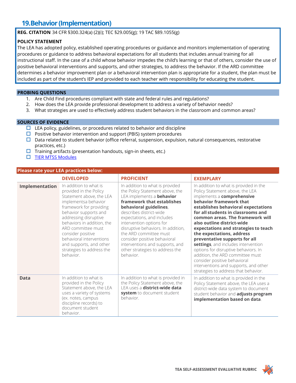### **19.Behavior (Implementation)**

**REG. CITATION** 34 CFR §300.324(a) (2)(i); TEC §29.005(g); 19 TAC §89.1055(g)

### **POLICY STATEMENT**

The LEA has adopted policy, established operating procedures or guidance and monitors implementation of operating procedures or guidance to address behavioral expectations for all students that includes annual training for all instructional staff. In the case of a child whose behavior impedes the child's learning or that of others, consider the use of positive behavioral interventions and supports, and other strategies, to address the behavior. If the ARD committee determines a behavior improvement plan or a behavioral intervention plan is appropriate for a student, the plan must be included as part of the student's IEP and provided to each teacher with responsibility for educating the student.

#### **PROBING QUESTIONS**

- 1. Are Child Find procedures compliant with state and federal rules and regulations?
- 2. How does the LEA provide professional development to address a variety of behavior needs?
- 3. What strategies are used to effectively address student behaviors in the classroom and common areas?

### **SOURCES OF EVIDENCE**

- $\Box$  LEA policy, guidelines, or procedures related to behavior and discipline
- $\Box$  Positive behavior intervention and support (PBIS) system procedures
- $\Box$  Data related to student behavior (office referral, suspension, expulsion, natural consequences, restorative practices, etc.)
- $\Box$  Training artifacts (presentation handouts, sign-in sheets, etc.)
- $\square$  [TIER MTSS Modules](https://tier.tea.texas.gov/module)

#### **Please rate your LEA practices below:**

|                | <b>DEVELOPED</b>                                                                                                                                                                                                                                                                                                                                            | <b>PROFICIENT</b>                                                                                                                                                                                                                                                                                                                                                                                                                      | <b>EXEMPLARY</b>                                                                                                                                                                                                                                                                                                                                                                                                                                                                                                                                                                                                            |
|----------------|-------------------------------------------------------------------------------------------------------------------------------------------------------------------------------------------------------------------------------------------------------------------------------------------------------------------------------------------------------------|----------------------------------------------------------------------------------------------------------------------------------------------------------------------------------------------------------------------------------------------------------------------------------------------------------------------------------------------------------------------------------------------------------------------------------------|-----------------------------------------------------------------------------------------------------------------------------------------------------------------------------------------------------------------------------------------------------------------------------------------------------------------------------------------------------------------------------------------------------------------------------------------------------------------------------------------------------------------------------------------------------------------------------------------------------------------------------|
| Implementation | In addition to what is<br>provided in the Policy<br>Statement above, the LEA<br>implementsa behavior<br>framework for providing<br>behavior supports and<br>addressing disruptive<br>behaviors in addition, the<br>ARD committee must<br>consider positive<br>behavioral interventions<br>and supports, and other<br>strategies to address the<br>behavior. | In addition to what is provided<br>the Policy Statement above, the<br>LEA implements a <b>behavior</b><br>framework that establishes<br>behavioral guidelines,<br>describes district-wide<br>expectations, and includes<br>intervention options for<br>disruptive behaviors. In addition,<br>the ARD committee must<br>consider positive behavioral<br>interventions and supports, and<br>other strategies to address the<br>behavior. | In addition to what is provided in the<br>Policy Statement above, the LEA<br>implements a comprehensive<br>behavior framework that<br>establishes behavioral expectations<br>for all students in classrooms and<br>common areas. The framework will<br>also outline district-wide<br>expectations and strategies to teach<br>the expectations, address<br>preventative supports for all<br>settings, and includes intervention<br>options for disruptive behaviors. In<br>addition, the ARD committee must<br>consider positive behavioral<br>interventions and supports, and other<br>strategies to address that behavior. |
| <b>Data</b>    | In addition to what is<br>provided in the Policy<br>Statement above, the LEA<br>uses a variety of systems<br>(ex. notes, campus<br>discipline records) to<br>document student<br>behavior.                                                                                                                                                                  | In addition to what is provided in<br>the Policy Statement above, the<br>LEA uses a district-wide data<br>system to document student<br>behavior.                                                                                                                                                                                                                                                                                      | In addition to what is provided in the<br>Policy Statement above, the LEA uses a<br>district-wide data system to document<br>student behavior and adjusts program<br>implementation based on data.                                                                                                                                                                                                                                                                                                                                                                                                                          |

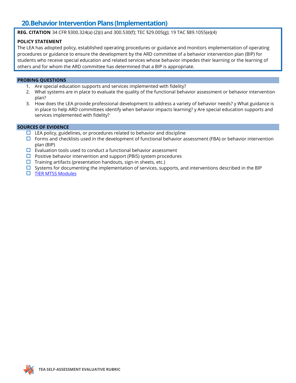### **20.Behavior Intervention Plans (Implementation)**

**REG. CITATION** 34 CFR §300.324(a) (2)(i) and 300.530(f); TEC §29.005(g); 19 TAC §89.1055(e)(4)

### **POLICY STATEMENT**

The LEA has adopted policy, established operating procedures or guidance and monitors implementation of operating procedures or guidance to ensure the development by the ARD committee of a behavior intervention plan (BIP) for students who receive special education and related services whose behavior impedes their learning or the learning of others and for whom the ARD committee has determined that a BIP is appropriate.

#### **PROBING QUESTIONS**

- 1. Are special education supports and services implemented with fidelity?
- 2. What systems are in place to evaluate the quality of the functional behavior assessment or behavior intervention plan?
- 3. How does the LEA provide professional development to address a variety of behavior needs? y What guidance is in place to help ARD committees identify when behavior impacts learning? y Are special education supports and services implemented with fidelity?

- $\Box$  LEA policy, guidelines, or procedures related to behavior and discipline
- $\Box$  Forms and checklists used in the development of functional behavior assessment (FBA) or behavior intervention plan (BIP)
- $\square$  Evaluation tools used to conduct a functional behavior assessment
- $\Box$  Positive behavior intervention and support (PBIS) system procedures
- $\Box$  Training artifacts (presentation handouts, sign-in sheets, etc.)
- $\square$  Systems for documenting the implementation of services, supports, and interventions described in the BIP
- **[TIER MTSS Modules](https://tier.tea.texas.gov/module)**

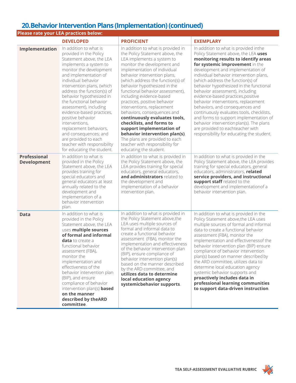### **20.Behavior Intervention Plans (Implementation)(continued)**

|                                           | Please rate your LEA practices below:                                                                                                                                                                                                                                                                                                                                                                                                                                                                                                      |                                                                                                                                                                                                                                                                                                                                                                                                                                                                                                                                                                                                                                                                 |                                                                                                                                                                                                                                                                                                                                                                                                                                                                                                                                                                                                                                                                                                 |
|-------------------------------------------|--------------------------------------------------------------------------------------------------------------------------------------------------------------------------------------------------------------------------------------------------------------------------------------------------------------------------------------------------------------------------------------------------------------------------------------------------------------------------------------------------------------------------------------------|-----------------------------------------------------------------------------------------------------------------------------------------------------------------------------------------------------------------------------------------------------------------------------------------------------------------------------------------------------------------------------------------------------------------------------------------------------------------------------------------------------------------------------------------------------------------------------------------------------------------------------------------------------------------|-------------------------------------------------------------------------------------------------------------------------------------------------------------------------------------------------------------------------------------------------------------------------------------------------------------------------------------------------------------------------------------------------------------------------------------------------------------------------------------------------------------------------------------------------------------------------------------------------------------------------------------------------------------------------------------------------|
|                                           | <b>DEVELOPED</b>                                                                                                                                                                                                                                                                                                                                                                                                                                                                                                                           | <b>PROFICIENT</b>                                                                                                                                                                                                                                                                                                                                                                                                                                                                                                                                                                                                                                               | <b>EXEMPLARY</b>                                                                                                                                                                                                                                                                                                                                                                                                                                                                                                                                                                                                                                                                                |
| Implementation                            | In addition to what is<br>provided in the Policy<br>Statement above, the LEA<br>implements a system to<br>monitor the development<br>and implementation of<br>individual behavior<br>intervention plans, (which<br>address the function(s) of<br>behavior hypothesized in<br>the functional behavior<br>assessment), including<br>evidence-based practices,<br>positive behavior<br>interventions,<br>replacement behaviors,<br>and consequences; and<br>are provided to each<br>teacher with responsibility<br>for educating the student. | In addition to what is provided in<br>the Policy Statement above, the<br>LEA implements a system to<br>monitor the development and<br>implementation of individual<br>behavior intervention plans,<br>(which address the function(s) of<br>behavior hypothesized in the<br>functional behavior assessment),<br>including evidence-based<br>practices, positive behavior<br>interventions, replacement<br>behaviors, consequences and<br>continuously evaluates tools,<br>checklists, and forms to<br>support implementation of<br>behavior intervention plan(s).<br>The plans are provided to each<br>teacher with responsibility for<br>educating the student. | In addition to what is provided inthe<br>Policy Statement above, the LEA uses<br>monitoring results to identify areas<br>for systemic improvement in the<br>development and implementation of<br>individual behavior intervention plans,<br>(which address the function(s) of<br>behavior hypothesized in the functional<br>behavior assessment), including<br>evidence-based practices, positive<br>behavior interventions, replacement<br>behaviors, and consequences and<br>continuously evaluates tools, checklists,<br>and forms to support implementation of<br>behavior intervention plan(s). The plans<br>are provided to eachteacher with<br>responsibility for educating the student. |
| <b>Professional</b><br><b>Development</b> | In addition to what is<br>provided in the Policy<br>Statement above, the LEA<br>provides training for<br>special educators and<br>general educators at least<br>annually related to the<br>development and<br>implementation of a<br>behavior intervention<br>plan.                                                                                                                                                                                                                                                                        | In addition to what is provided in<br>the Policy Statement above, the<br>LEA provides training for special<br>educators, general educators,<br>and administrators related to<br>the development and<br>implementation of a behavior<br>intervention plan.                                                                                                                                                                                                                                                                                                                                                                                                       | In addition to what is provided in the<br>Policy Statement above, the LEA provides<br>training for special educators, general<br>educators, administrators, related<br>service providers, and instructional<br>support staff related to the<br>development and implementation of a<br>behavior intervention plan.                                                                                                                                                                                                                                                                                                                                                                               |
| <b>Data</b>                               | In addition to what is<br>provided in the Policy<br>Statement above, the LEA<br>uses multiple sources<br>of formal and informal<br>data to create a<br>functional behavior<br>assessment (FBA),<br>monitor the<br>implementation and<br>effectiveness of the<br>behavior intervention plan<br>(BIP), and ensure<br>compliance of behavior<br>intervention plan(s) <b>based</b><br>on the manner<br>described by theARD<br>committee.                                                                                                       | In addition to what is provided in<br>the Policy Statement above, the<br>LEA uses multiple sources of<br>formal and informal data to<br>create a functional behavior<br>assessment (FBA), monitor the<br>implementation and effectiveness<br>of the behavior intervention plan<br>(BIP), ensure compliance of<br>behavior intervention plan(s)<br>based on the manner described<br>by the ARD committee, and<br>utilizes data to determine<br>local education agency<br>systemicbehavior supports.                                                                                                                                                              | In addition to what is provided in the<br>Policy Statement above, the LEA uses<br>multiple sources of formal and informal<br>data to create a functional behavior<br>assessment (FBA), monitor the<br>implementation and effectivenessof the<br>behavior intervention plan (BIP) ensure<br>compliance of behavior intervention<br>plan(s) based on manner described by<br>the ARD committee, utilizes data to<br>determine local education agency<br>systemic behavior supports and<br>proactively includes data in<br>professional learning communities<br>to support data-driven instruction.                                                                                                 |

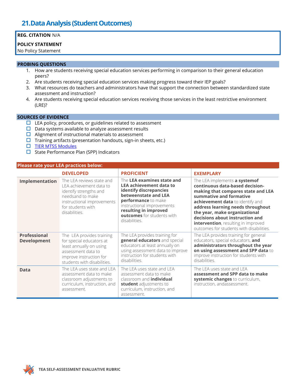### **21.Data Analysis (Student Outcomes)**

### **REG. CITATION** N/A

#### **POLICY STATEMENT**

No Policy Statement

#### **PROBING QUESTIONS**

- 1. How are students receiving special education services performing in comparison to their general education peers?
- 2. Are students receiving special education services making progress toward their IEP goals?
- 3. What resources do teachers and administrators have that support the connection between standardized state assessment and instruction?
- 4. Are students receiving special education services receiving those services in the least restrictive environment (LRE)?

#### **SOURCES OF EVIDENCE**

- $\square$  LEA policy, procedures, or guidelines related to assessment
- $\square$  Data systems available to analyze assessment results
- $\Box$  Alignment of instructional materials to assessment
- $\Box$  Training artifacts (presentation handouts, sign-in sheets, etc.)
- **[TIER MTSS Modules](https://tier.tea.texas.gov/module)**
- $\Box$  State Performance Plan (SPP) Indicators

### **Please rate your LEA practices below:**

|                                           | <b>DEVELOPED</b>                                                                                                                                                       | <b>PROFICIENT</b>                                                                                                                                                                                                                           | <b>EXEMPLARY</b>                                                                                                                                                                                                                                                                                                                                                  |
|-------------------------------------------|------------------------------------------------------------------------------------------------------------------------------------------------------------------------|---------------------------------------------------------------------------------------------------------------------------------------------------------------------------------------------------------------------------------------------|-------------------------------------------------------------------------------------------------------------------------------------------------------------------------------------------------------------------------------------------------------------------------------------------------------------------------------------------------------------------|
| Implementation                            | The LEA reviews state and<br>LEA achievement data to<br>identify strengths and<br>needsand to make<br>instructional improvements<br>for students with<br>disabilities. | The LEA examines state and<br><b>LEA achievement data to</b><br>identify discrepancies<br>betweenstate and LEA<br>performance to make<br>instructional improvements<br>resulting in improved<br>outcomes for students with<br>disabilities. | The LEA implements a systemof<br>continuous data-based decision-<br>making that compares state and LEA<br>summative and formative<br>achievement data to identify and<br>address learning needs throughout<br>the year, make organizational<br>decisions about instruction and<br>intervention, resulting in improved<br>outcomes for students with disabilities. |
| <b>Professional</b><br><b>Development</b> | The LEA provides training<br>for special educators at<br>least annually on using<br>assessment data to<br>improve instruction for<br>students with disabilities.       | The LEA provides training for<br>general educators and special<br>educators at least annually on<br>using assessment data to improve<br>instruction for students with<br>disabilities.                                                      | The LEA provides training for general<br>educators, special educators, and<br>administrators throughout the year<br>on using assessment and SPP data to<br>improve instruction for students with<br>disabilities.                                                                                                                                                 |
| <b>Data</b>                               | The LEA uses state and LEA<br>assessment data to make<br>classroom adjustments to<br>curriculum, instruction, and<br>assessment.                                       | The LEA uses state and LEA<br>assessment data to make<br>classroom and <b>individual</b><br>student adjustments to<br>curriculum, instruction, and<br>assessment.                                                                           | The LEA uses state and LEA<br>assessment and SPP data to make<br>systemic changes to curriculum,<br>instruction, andassessment.                                                                                                                                                                                                                                   |

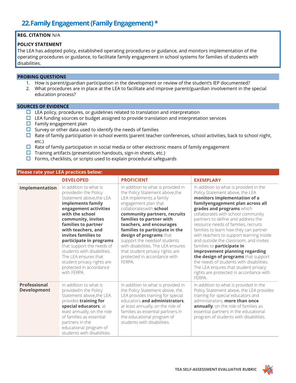### **22.Family Engagement (Family Engagement) \***

### **REG. CITATION** N/A

### **POLICY STATEMENT**

The LEA has adopted policy, established operating procedures or guidance, and monitors implementation of the operating procedures or guidance, to facilitate family engagement in school systems for families of students with disabilities.

#### **PROBING QUESTIONS**

- 1. How is parent/guardian participation in the development or review of the student's IEP documented?
- 2. What procedures are in place at the LEA to facilitate and improve parent/guardian involvement in the special education process?

#### **SOURCES OF EVIDENCE**

- $\Box$  LEA policy, procedures, or guidelines related to translation and interpretation
- $\Box$  LEA funding sources or budget assigned to provide translation and interpretation services
- $\Box$  Family engagement plan
- $\square$  Survey or other data used to identify the needs of families
- $\Box$  Rate of family participation in school events (parent teacher conferences, school activities, back to school night, etc.)
- $\Box$  Rate of family participation in social media or other electronic means of family engagement
- $\Box$  Training artifacts (presentation handouts, sign-in sheets, etc.)
- $\Box$  Forms, checklists, or scripts used to explain procedural safeguards

#### **Please rate your LEA practices below:**

|                                           | <b>DEVELOPED</b>                                                                                                                                                                                                                                                                                                                                                                                                              | <b>PROFICIENT</b>                                                                                                                                                                                                                                                                                                                                                                                                                                           | <b>EXEMPLARY</b>                                                                                                                                                                                                                                                                                                                                                                                                                                                                                                                                                                                                                                                               |
|-------------------------------------------|-------------------------------------------------------------------------------------------------------------------------------------------------------------------------------------------------------------------------------------------------------------------------------------------------------------------------------------------------------------------------------------------------------------------------------|-------------------------------------------------------------------------------------------------------------------------------------------------------------------------------------------------------------------------------------------------------------------------------------------------------------------------------------------------------------------------------------------------------------------------------------------------------------|--------------------------------------------------------------------------------------------------------------------------------------------------------------------------------------------------------------------------------------------------------------------------------------------------------------------------------------------------------------------------------------------------------------------------------------------------------------------------------------------------------------------------------------------------------------------------------------------------------------------------------------------------------------------------------|
| Implementation                            | In addition to what is<br>providedin the Policy<br>Statement above, the LEA<br>implements family<br>engagement activities<br>with the school<br>community, invites<br>families to partner<br>with teachers, and<br>invites families to<br>participate in programs<br>that support the needs of<br>students with disabilities.<br>The LEA ensures that<br>student privacy rights are<br>protected in accordance<br>with FERPA. | In addition to what is provided in<br>the Policy Statement above, the<br>LEA implements a family<br>engagement plan that<br>collaborateswith school<br>community partners, recruits<br>families to partner with<br>teachers, and encourages<br>families to participate in the<br>design of programs that<br>support the needsof students<br>with disabilities. The LEA ensures<br>that student privacy rights are<br>protected in accordance with<br>FERPA. | In addition to what is provided in the<br>Policy Statement above, the LEA<br>monitors implementation of a<br>familyengagement plan across all<br>grades and programs which<br>collaborates with school community<br>partners to define and address the<br>resource needs of families, recruits<br>families to learn how they can partner<br>with teachers to support learning inside<br>and outside the classroom, and invites<br>families to participate in<br>improvement planning regarding<br>the design of programs that support<br>the needs of students with disabilities.<br>The LEA ensures that student privacy<br>rights are protected in accordance with<br>FERPA. |
| <b>Professional</b><br><b>Development</b> | In addition to what is<br>providedin the Policy<br>Statement above, the LEA<br>provides training for<br>special educators, at<br>least annually, on the role<br>of families as essential<br>partners in the<br>educational program of<br>students with disabilities.                                                                                                                                                          | In addition to what is provided in<br>the Policy Statement above, the<br>LEA provides training for special<br>educators and administrators,<br>at least annually, on the role of<br>families as essential partners in<br>the educational program of<br>students with disabilities.                                                                                                                                                                          | In addition to what is provided in the<br>Policy Statement above, the LEA provides<br>training for special educators and<br>administrators, more than once<br>annually, on the role of families as<br>essential partners in the educational<br>program of students with disabilities.                                                                                                                                                                                                                                                                                                                                                                                          |

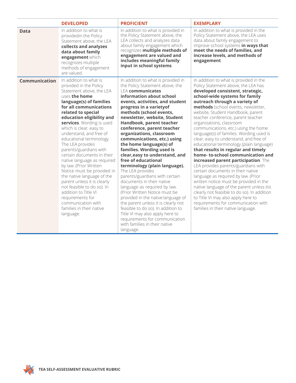|               | <b>DEVELOPED</b>                                                                                                                                                                                                                                                                                                                                                                                                                                                                                                                                                                                                                                                                              | <b>PROFICIENT</b>                                                                                                                                                                                                                                                                                                                                                                                                                                                                                                                                                                                                                                                                                                                                                                                                                                                                                                      | <b>EXEMPLARY</b>                                                                                                                                                                                                                                                                                                                                                                                                                                                                                                                                                                                                                                                                                                                                                                                                                                                                                                                                                                                          |
|---------------|-----------------------------------------------------------------------------------------------------------------------------------------------------------------------------------------------------------------------------------------------------------------------------------------------------------------------------------------------------------------------------------------------------------------------------------------------------------------------------------------------------------------------------------------------------------------------------------------------------------------------------------------------------------------------------------------------|------------------------------------------------------------------------------------------------------------------------------------------------------------------------------------------------------------------------------------------------------------------------------------------------------------------------------------------------------------------------------------------------------------------------------------------------------------------------------------------------------------------------------------------------------------------------------------------------------------------------------------------------------------------------------------------------------------------------------------------------------------------------------------------------------------------------------------------------------------------------------------------------------------------------|-----------------------------------------------------------------------------------------------------------------------------------------------------------------------------------------------------------------------------------------------------------------------------------------------------------------------------------------------------------------------------------------------------------------------------------------------------------------------------------------------------------------------------------------------------------------------------------------------------------------------------------------------------------------------------------------------------------------------------------------------------------------------------------------------------------------------------------------------------------------------------------------------------------------------------------------------------------------------------------------------------------|
| <b>Data</b>   | In addition to what is<br>providedin the Policy<br>Statement above, the LEA<br>collects and analyzes<br>data about family<br>engagement which<br>recognizes multiple<br>methods of engagement<br>are valued.                                                                                                                                                                                                                                                                                                                                                                                                                                                                                  | In addition to what is provided in<br>the Policy Statement above, the<br>LEA collects and analyzes data<br>about family engagement which<br>recognizes multiple methods of<br>engagement are valued and<br>includes meaningful family<br>input in school systems.                                                                                                                                                                                                                                                                                                                                                                                                                                                                                                                                                                                                                                                      | In addition to what is provided in the<br>Policy Statement above, the LEA uses<br>data about family engagement to<br>improve school systems in ways that<br>meet the needs of families, and<br>increase levels, and methods of<br>engagement.                                                                                                                                                                                                                                                                                                                                                                                                                                                                                                                                                                                                                                                                                                                                                             |
| Communication | In addition to what is<br>provided in the Policy<br>Statement above, the LEA<br>uses the home<br>language(s) of families<br>for all communications<br>related to special<br>education eligibility and<br>services. Wording is used<br>which is clear, easy to<br>understand, and free of<br>educational terminology.<br>The LEA provides<br>parents/guardians with<br>certain documents in their<br>native language as required<br>by law. (Prior Written<br>Notice must be provided in<br>the native language of the<br>parent unless it is clearly<br>not feasible to do so). In<br>addition to Title VI<br>requirements for<br>communication with<br>families in their native<br>language. | In addition to what is provided in<br>the Policy Statement above, the<br><b>LEA</b> communicates<br>information about school<br>events, activities, and student<br>progress in a varietyof<br>methods (school events,<br>newsletter, website, Student<br>Handbook, parent teacher<br>conference, parent teacher<br>organizations, classroom<br>communications, etc.) using<br>the home language(s) of<br>families. Wording used is<br>clear, easy to understand, and<br>free of educational<br>terminology (plain language).<br>The LEA provides<br>parents/guardians with certain<br>documents in their native<br>language as required by law.<br>(Prior Written Notice must be<br>provided in the native language of<br>the parent unless it is clearly not<br>feasible to do so). In addition to<br>Title VI may also apply here to<br>requirements for communication<br>with families in their native<br>language. | In addition to what is provided in the<br>Policy Statement above, the LEA has<br>developed consistent, strategic,<br>school-wide systems for family<br>outreach through a variety of<br>methods (school events, newsletter,<br>website, Student Handbook, parent<br>teacher conference, parent teacher<br>organizations, classroom<br>communications, etc.) using the home<br>language(s) of families. Wording used is<br>clear, easy to understand, and free of<br>educational terminology (plain language)<br>that results in regular and timely<br>home-to-school communication and<br>increased parent participation. The<br>LEA provides parents/guardians with<br>certain documents in their native<br>language as required by law. (Prior<br>written notice must be provided in the<br>native language of the parent unless itis<br>clearly not feasible to do so). In addition<br>to Title VI may also apply here to<br>requirements for communication with<br>families in their native language. |

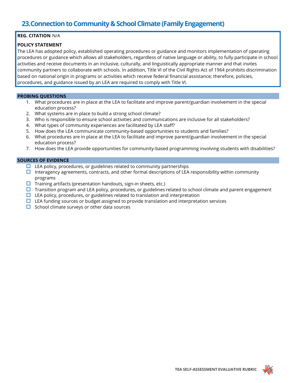### **REG. CITATION** N/A

### **POLICY STATEMENT**

The LEA has adopted policy, established operating procedures or guidance and monitors implementation of operating procedures or guidance which allows all stakeholders, regardless of native language or ability, to fully participate in school activities and receive documents in an inclusive, culturally, and linguistically appropriate manner and that invites community partners to collaborate with schools. In addition, Title VI of the Civil Rights Act of 1964 prohibits discrimination based on national origin in programs or activities which receive federal financial assistance; therefore, policies, procedures, and guidance issued by an LEA are required to comply with Title VI.

### **PROBING QUESTIONS**

- 1. What procedures are in place at the LEA to facilitate and improve parent/guardian involvement in the special education process?
- 2. What systems are in place to build a strong school climate?
- 3. Who is responsible to ensure school activities and communications are inclusive for all stakeholders?
- 4. What types of community experiences are facilitated by LEA staff?
- 5. How does the LEA communicate community-based opportunities to students and families?
- 6. What procedures are in place at the LEA to facilitate and improve parent/guardian involvement in the special education process?
- 7. How does the LEA provide opportunities for community-based programming involving students with disabilities?

- $\Box$  LEA policy, procedures, or guidelines related to community partnerships
- Interagency agreements, contracts, and other formal descriptions of LEA responsibility within community programs
- $\square$  Training artifacts (presentation handouts, sign-in sheets, etc.)
- $\Box$  Transition program and LEA policy, procedures, or guidelines related to school climate and parent engagement
- $\Box$  LEA policy, procedures, or guidelines related to translation and interpretation
- $\Box$  LEA funding sources or budget assigned to provide translation and interpretation services
- $\Box$  School climate surveys or other data sources